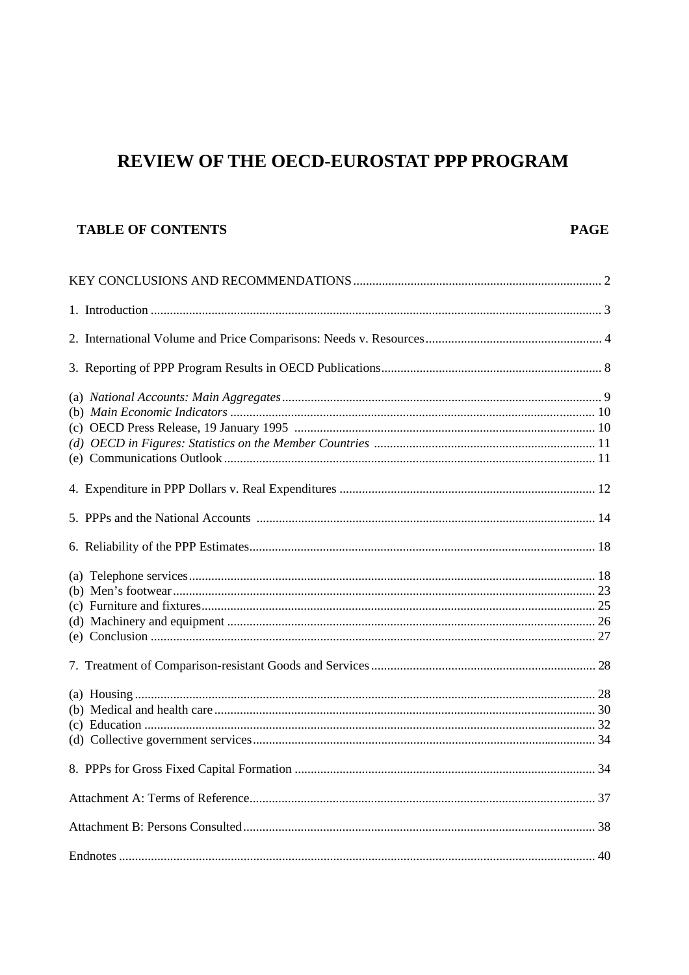# REVIEW OF THE OECD-EUROSTAT PPP PROGRAM

# **TABLE OF CONTENTS**

# **PAGE**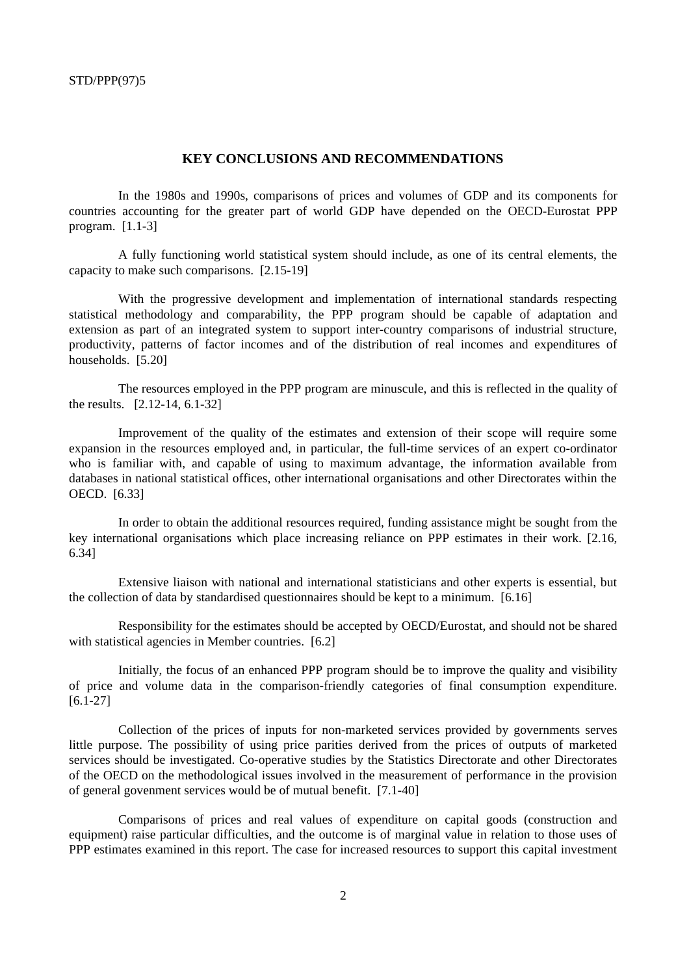## **KEY CONCLUSIONS AND RECOMMENDATIONS**

In the 1980s and 1990s, comparisons of prices and volumes of GDP and its components for countries accounting for the greater part of world GDP have depended on the OECD-Eurostat PPP program. [1.1-3]

A fully functioning world statistical system should include, as one of its central elements, the capacity to make such comparisons. [2.15-19]

With the progressive development and implementation of international standards respecting statistical methodology and comparability, the PPP program should be capable of adaptation and extension as part of an integrated system to support inter-country comparisons of industrial structure, productivity, patterns of factor incomes and of the distribution of real incomes and expenditures of households. [5.20]

The resources employed in the PPP program are minuscule, and this is reflected in the quality of the results. [2.12-14, 6.1-32]

Improvement of the quality of the estimates and extension of their scope will require some expansion in the resources employed and, in particular, the full-time services of an expert co-ordinator who is familiar with, and capable of using to maximum advantage, the information available from databases in national statistical offices, other international organisations and other Directorates within the OECD. [6.33]

In order to obtain the additional resources required, funding assistance might be sought from the key international organisations which place increasing reliance on PPP estimates in their work. [2.16, 6.34]

Extensive liaison with national and international statisticians and other experts is essential, but the collection of data by standardised questionnaires should be kept to a minimum. [6.16]

Responsibility for the estimates should be accepted by OECD/Eurostat, and should not be shared with statistical agencies in Member countries. [6.2]

Initially, the focus of an enhanced PPP program should be to improve the quality and visibility of price and volume data in the comparison-friendly categories of final consumption expenditure. [6.1-27]

Collection of the prices of inputs for non-marketed services provided by governments serves little purpose. The possibility of using price parities derived from the prices of outputs of marketed services should be investigated. Co-operative studies by the Statistics Directorate and other Directorates of the OECD on the methodological issues involved in the measurement of performance in the provision of general govenment services would be of mutual benefit. [7.1-40]

Comparisons of prices and real values of expenditure on capital goods (construction and equipment) raise particular difficulties, and the outcome is of marginal value in relation to those uses of PPP estimates examined in this report. The case for increased resources to support this capital investment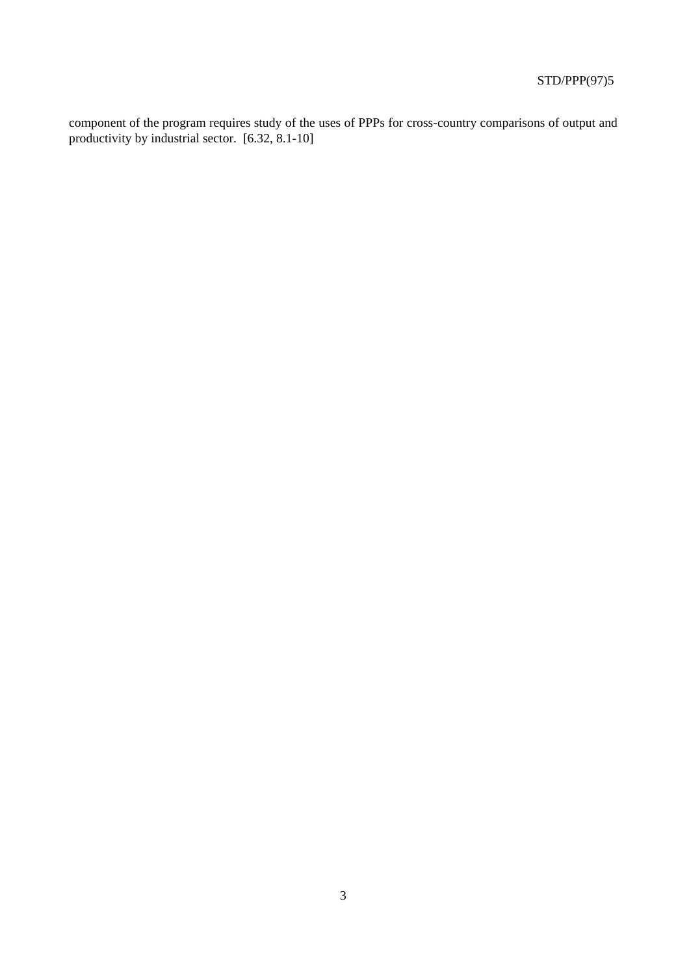component of the program requires study of the uses of PPPs for cross-country comparisons of output and productivity by industrial sector. [6.32, 8.1-10]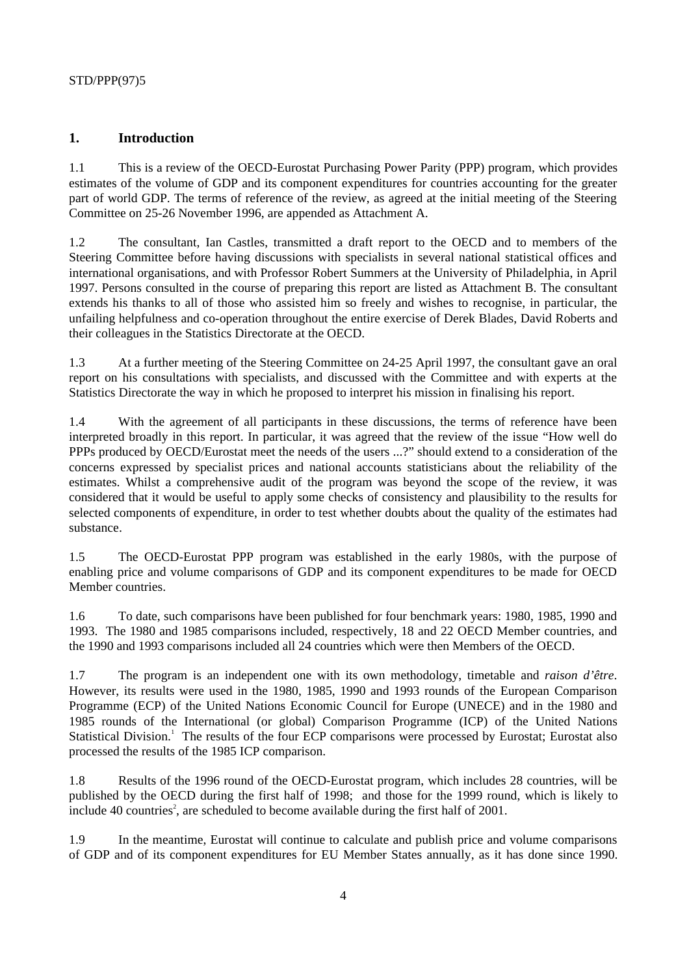# **1. Introduction**

1.1 This is a review of the OECD-Eurostat Purchasing Power Parity (PPP) program, which provides estimates of the volume of GDP and its component expenditures for countries accounting for the greater part of world GDP. The terms of reference of the review, as agreed at the initial meeting of the Steering Committee on 25-26 November 1996, are appended as Attachment A.

1.2 The consultant, Ian Castles, transmitted a draft report to the OECD and to members of the Steering Committee before having discussions with specialists in several national statistical offices and international organisations, and with Professor Robert Summers at the University of Philadelphia, in April 1997. Persons consulted in the course of preparing this report are listed as Attachment B. The consultant extends his thanks to all of those who assisted him so freely and wishes to recognise, in particular, the unfailing helpfulness and co-operation throughout the entire exercise of Derek Blades, David Roberts and their colleagues in the Statistics Directorate at the OECD.

1.3 At a further meeting of the Steering Committee on 24-25 April 1997, the consultant gave an oral report on his consultations with specialists, and discussed with the Committee and with experts at the Statistics Directorate the way in which he proposed to interpret his mission in finalising his report.

1.4 With the agreement of all participants in these discussions, the terms of reference have been interpreted broadly in this report. In particular, it was agreed that the review of the issue "How well do PPPs produced by OECD/Eurostat meet the needs of the users ...?" should extend to a consideration of the concerns expressed by specialist prices and national accounts statisticians about the reliability of the estimates. Whilst a comprehensive audit of the program was beyond the scope of the review, it was considered that it would be useful to apply some checks of consistency and plausibility to the results for selected components of expenditure, in order to test whether doubts about the quality of the estimates had substance.

1.5 The OECD-Eurostat PPP program was established in the early 1980s, with the purpose of enabling price and volume comparisons of GDP and its component expenditures to be made for OECD Member countries.

1.6 To date, such comparisons have been published for four benchmark years: 1980, 1985, 1990 and 1993. The 1980 and 1985 comparisons included, respectively, 18 and 22 OECD Member countries, and the 1990 and 1993 comparisons included all 24 countries which were then Members of the OECD.

1.7 The program is an independent one with its own methodology, timetable and *raison d'être*. However, its results were used in the 1980, 1985, 1990 and 1993 rounds of the European Comparison Programme (ECP) of the United Nations Economic Council for Europe (UNECE) and in the 1980 and 1985 rounds of the International (or global) Comparison Programme (ICP) of the United Nations Statistical Division.<sup>1</sup> The results of the four ECP comparisons were processed by Eurostat; Eurostat also processed the results of the 1985 ICP comparison.

1.8 Results of the 1996 round of the OECD-Eurostat program, which includes 28 countries, will be published by the OECD during the first half of 1998; and those for the 1999 round, which is likely to include 40 countries<sup>2</sup>, are scheduled to become available during the first half of  $2001$ .

1.9 In the meantime, Eurostat will continue to calculate and publish price and volume comparisons of GDP and of its component expenditures for EU Member States annually, as it has done since 1990.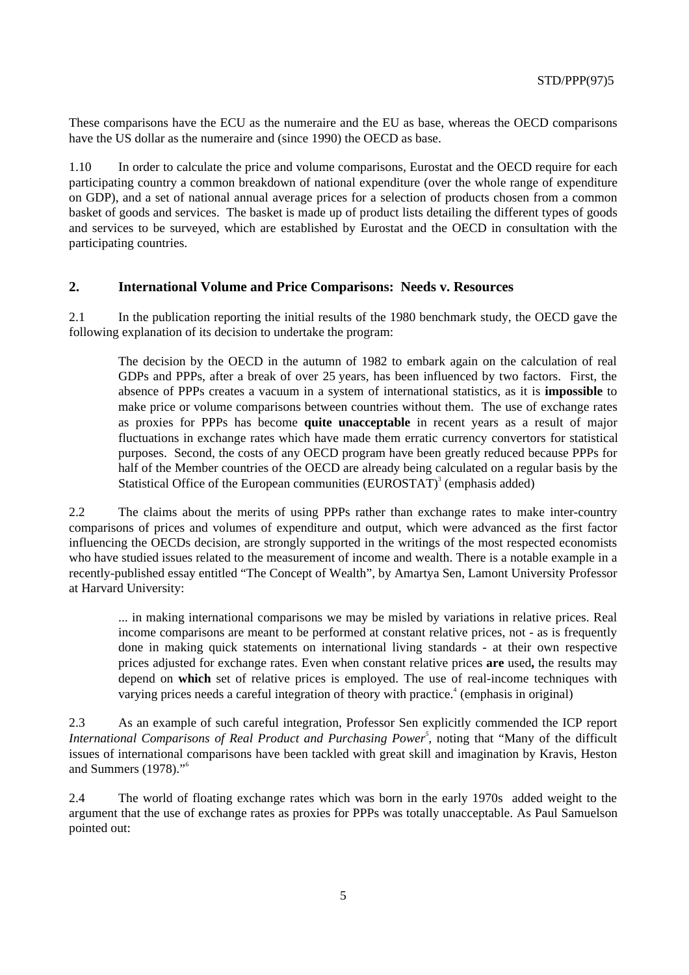These comparisons have the ECU as the numeraire and the EU as base, whereas the OECD comparisons have the US dollar as the numeraire and (since 1990) the OECD as base.

1.10 In order to calculate the price and volume comparisons, Eurostat and the OECD require for each participating country a common breakdown of national expenditure (over the whole range of expenditure on GDP), and a set of national annual average prices for a selection of products chosen from a common basket of goods and services. The basket is made up of product lists detailing the different types of goods and services to be surveyed, which are established by Eurostat and the OECD in consultation with the participating countries.

#### **2. International Volume and Price Comparisons: Needs v. Resources**

2.1 In the publication reporting the initial results of the 1980 benchmark study, the OECD gave the following explanation of its decision to undertake the program:

The decision by the OECD in the autumn of 1982 to embark again on the calculation of real GDPs and PPPs, after a break of over 25 years, has been influenced by two factors. First, the absence of PPPs creates a vacuum in a system of international statistics, as it is **impossible** to make price or volume comparisons between countries without them. The use of exchange rates as proxies for PPPs has become **quite unacceptable** in recent years as a result of major fluctuations in exchange rates which have made them erratic currency convertors for statistical purposes. Second, the costs of any OECD program have been greatly reduced because PPPs for half of the Member countries of the OECD are already being calculated on a regular basis by the Statistical Office of the European communities  $(EUROSTAT)^3$  (emphasis added)

2.2 The claims about the merits of using PPPs rather than exchange rates to make inter-country comparisons of prices and volumes of expenditure and output, which were advanced as the first factor influencing the OECDs decision, are strongly supported in the writings of the most respected economists who have studied issues related to the measurement of income and wealth. There is a notable example in a recently-published essay entitled "The Concept of Wealth", by Amartya Sen, Lamont University Professor at Harvard University:

... in making international comparisons we may be misled by variations in relative prices. Real income comparisons are meant to be performed at constant relative prices, not - as is frequently done in making quick statements on international living standards - at their own respective prices adjusted for exchange rates. Even when constant relative prices **are** used**,** the results may depend on **which** set of relative prices is employed. The use of real-income techniques with varying prices needs a careful integration of theory with practice.<sup> $4$ </sup> (emphasis in original)

2.3 As an example of such careful integration, Professor Sen explicitly commended the ICP report *International Comparisons of Real Product and Purchasing Power<sup>5</sup>, noting that "Many of the difficult* issues of international comparisons have been tackled with great skill and imagination by Kravis, Heston and Summers (1978)."<sup>6</sup>

2.4 The world of floating exchange rates which was born in the early 1970s added weight to the argument that the use of exchange rates as proxies for PPPs was totally unacceptable. As Paul Samuelson pointed out: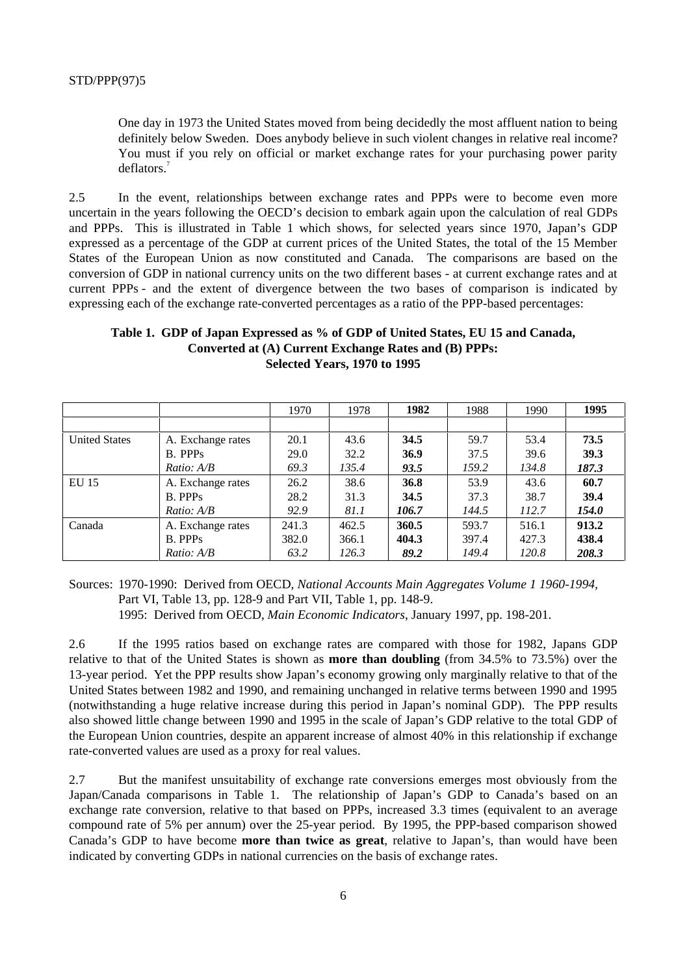One day in 1973 the United States moved from being decidedly the most affluent nation to being definitely below Sweden. Does anybody believe in such violent changes in relative real income? You must if you rely on official or market exchange rates for your purchasing power parity deflators.<sup>7</sup>

2.5 In the event, relationships between exchange rates and PPPs were to become even more uncertain in the years following the OECD's decision to embark again upon the calculation of real GDPs and PPPs. This is illustrated in Table 1 which shows, for selected years since 1970, Japan's GDP expressed as a percentage of the GDP at current prices of the United States, the total of the 15 Member States of the European Union as now constituted and Canada. The comparisons are based on the conversion of GDP in national currency units on the two different bases - at current exchange rates and at current PPPs - and the extent of divergence between the two bases of comparison is indicated by expressing each of the exchange rate-converted percentages as a ratio of the PPP-based percentages:

## **Table 1. GDP of Japan Expressed as % of GDP of United States, EU 15 and Canada, Converted at (A) Current Exchange Rates and (B) PPPs: Selected Years, 1970 to 1995**

|                      |                     | 1970  | 1978  | 1982  | 1988  | 1990  | 1995  |
|----------------------|---------------------|-------|-------|-------|-------|-------|-------|
|                      |                     |       |       |       |       |       |       |
| <b>United States</b> | A. Exchange rates   | 20.1  | 43.6  | 34.5  | 59.7  | 53.4  | 73.5  |
|                      | B. PPPs             | 29.0  | 32.2  | 36.9  | 37.5  | 39.6  | 39.3  |
|                      | Ratio: AB           | 69.3  | 135.4 | 93.5  | 159.2 | 134.8 | 187.3 |
| EU 15                | A. Exchange rates   | 26.2  | 38.6  | 36.8  | 53.9  | 43.6  | 60.7  |
|                      | B. PPPs             | 28.2  | 31.3  | 34.5  | 37.3  | 38.7  | 39.4  |
|                      | <i>Ratio:</i> $A/B$ | 92.9  | 81.1  | 106.7 | 144.5 | 112.7 | 154.0 |
| Canada               | A. Exchange rates   | 241.3 | 462.5 | 360.5 | 593.7 | 516.1 | 913.2 |
|                      | <b>B.</b> PPPs      | 382.0 | 366.1 | 404.3 | 397.4 | 427.3 | 438.4 |
|                      | <i>Ratio:</i> $A/B$ | 63.2  | 126.3 | 89.2  | 149.4 | 120.8 | 208.3 |

Sources: 1970-1990: Derived from OECD, *National Accounts Main Aggregates Volume 1 1960-1994,* Part VI, Table 13, pp. 128-9 and Part VII, Table 1, pp. 148-9. 1995: Derived from OECD, *Main Economic Indicators*, January 1997, pp. 198-201.

2.6 If the 1995 ratios based on exchange rates are compared with those for 1982, Japans GDP relative to that of the United States is shown as **more than doubling** (from 34.5% to 73.5%) over the 13-year period. Yet the PPP results show Japan's economy growing only marginally relative to that of the United States between 1982 and 1990, and remaining unchanged in relative terms between 1990 and 1995 (notwithstanding a huge relative increase during this period in Japan's nominal GDP). The PPP results also showed little change between 1990 and 1995 in the scale of Japan's GDP relative to the total GDP of the European Union countries, despite an apparent increase of almost 40% in this relationship if exchange rate-converted values are used as a proxy for real values.

2.7 But the manifest unsuitability of exchange rate conversions emerges most obviously from the Japan/Canada comparisons in Table 1. The relationship of Japan's GDP to Canada's based on an exchange rate conversion, relative to that based on PPPs, increased 3.3 times (equivalent to an average compound rate of 5% per annum) over the 25-year period. By 1995, the PPP-based comparison showed Canada's GDP to have become **more than twice as great**, relative to Japan's, than would have been indicated by converting GDPs in national currencies on the basis of exchange rates.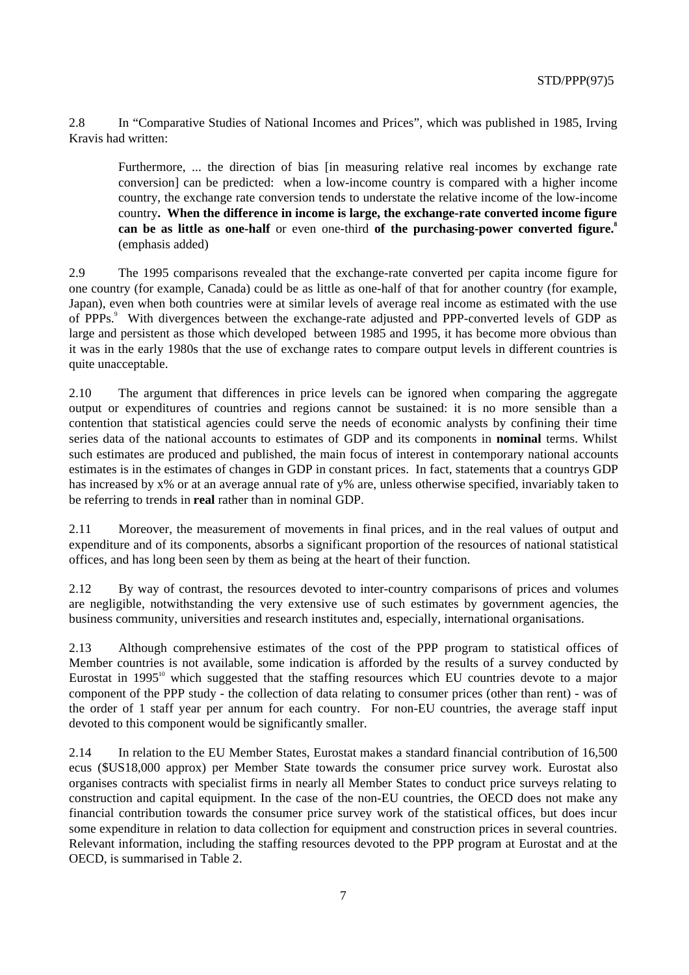2.8 In "Comparative Studies of National Incomes and Prices", which was published in 1985, Irving Kravis had written:

Furthermore, ... the direction of bias [in measuring relative real incomes by exchange rate conversion] can be predicted: when a low-income country is compared with a higher income country, the exchange rate conversion tends to understate the relative income of the low-income country**. When the difference in income is large, the exchange-rate converted income figure can be** as little as one-half or even one-third of the purchasing-power converted figure.<sup>8</sup> (emphasis added)

2.9 The 1995 comparisons revealed that the exchange-rate converted per capita income figure for one country (for example, Canada) could be as little as one-half of that for another country (for example, Japan), even when both countries were at similar levels of average real income as estimated with the use of PPPs.<sup>9</sup> With divergences between the exchange-rate adjusted and PPP-converted levels of GDP as large and persistent as those which developed between 1985 and 1995, it has become more obvious than it was in the early 1980s that the use of exchange rates to compare output levels in different countries is quite unacceptable.

2.10 The argument that differences in price levels can be ignored when comparing the aggregate output or expenditures of countries and regions cannot be sustained: it is no more sensible than a contention that statistical agencies could serve the needs of economic analysts by confining their time series data of the national accounts to estimates of GDP and its components in **nominal** terms. Whilst such estimates are produced and published, the main focus of interest in contemporary national accounts estimates is in the estimates of changes in GDP in constant prices. In fact, statements that a countrys GDP has increased by x% or at an average annual rate of y% are, unless otherwise specified, invariably taken to be referring to trends in **real** rather than in nominal GDP.

2.11 Moreover, the measurement of movements in final prices, and in the real values of output and expenditure and of its components, absorbs a significant proportion of the resources of national statistical offices, and has long been seen by them as being at the heart of their function.

2.12 By way of contrast, the resources devoted to inter-country comparisons of prices and volumes are negligible, notwithstanding the very extensive use of such estimates by government agencies, the business community, universities and research institutes and, especially, international organisations.

2.13 Although comprehensive estimates of the cost of the PPP program to statistical offices of Member countries is not available, some indication is afforded by the results of a survey conducted by Eurostat in  $1995<sup>10</sup>$  which suggested that the staffing resources which EU countries devote to a major component of the PPP study - the collection of data relating to consumer prices (other than rent) - was of the order of 1 staff year per annum for each country. For non-EU countries, the average staff input devoted to this component would be significantly smaller.

2.14 In relation to the EU Member States, Eurostat makes a standard financial contribution of 16,500 ecus (\$US18,000 approx) per Member State towards the consumer price survey work. Eurostat also organises contracts with specialist firms in nearly all Member States to conduct price surveys relating to construction and capital equipment. In the case of the non-EU countries, the OECD does not make any financial contribution towards the consumer price survey work of the statistical offices, but does incur some expenditure in relation to data collection for equipment and construction prices in several countries. Relevant information, including the staffing resources devoted to the PPP program at Eurostat and at the OECD, is summarised in Table 2.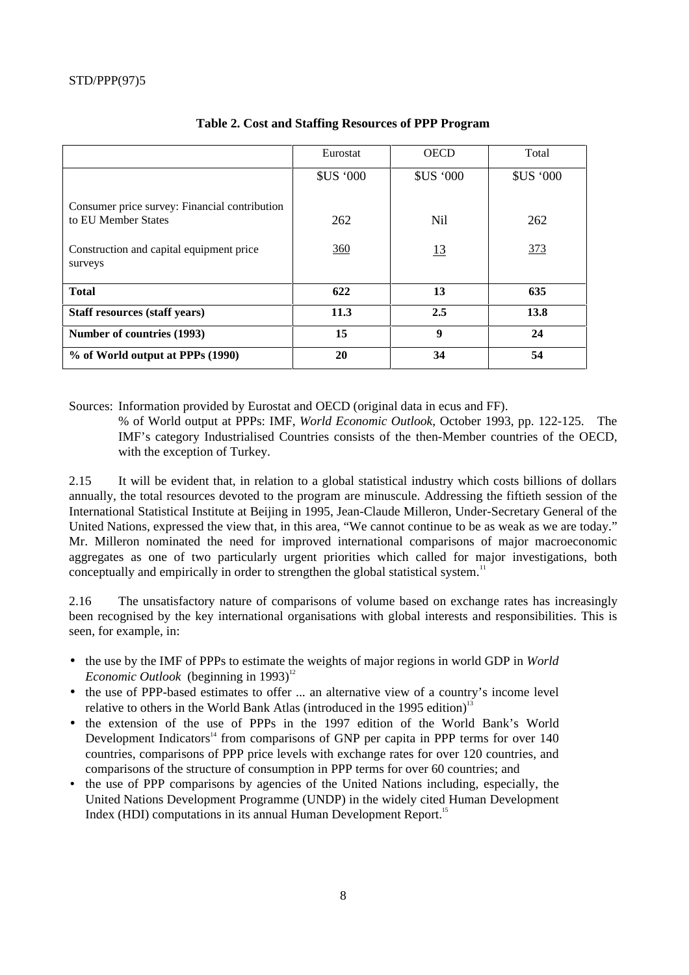|                                                                      | Eurostat         | <b>OECD</b>      | Total            |
|----------------------------------------------------------------------|------------------|------------------|------------------|
|                                                                      | <b>\$US '000</b> | <b>\$US '000</b> | <b>\$US '000</b> |
| Consumer price survey: Financial contribution<br>to EU Member States | 262              | N <sub>il</sub>  | 262              |
| Construction and capital equipment price<br>surveys                  | 360              | <u>13</u>        | 373              |
| <b>Total</b>                                                         | 622              | 13               | 635              |
| <b>Staff resources (staff years)</b>                                 | 11.3             | 2.5              | 13.8             |
| Number of countries (1993)                                           | 15               | 9                | 24               |
| % of World output at PPPs (1990)                                     | 20               | 34               | 54               |

## **Table 2. Cost and Staffing Resources of PPP Program**

Sources: Information provided by Eurostat and OECD (original data in ecus and FF).

% of World output at PPPs: IMF, *World Economic Outlook*, October 1993, pp. 122-125. The IMF's category Industrialised Countries consists of the then-Member countries of the OECD, with the exception of Turkey.

2.15 It will be evident that, in relation to a global statistical industry which costs billions of dollars annually, the total resources devoted to the program are minuscule. Addressing the fiftieth session of the International Statistical Institute at Beijing in 1995, Jean-Claude Milleron, Under-Secretary General of the United Nations, expressed the view that, in this area, "We cannot continue to be as weak as we are today." Mr. Milleron nominated the need for improved international comparisons of major macroeconomic aggregates as one of two particularly urgent priorities which called for major investigations, both conceptually and empirically in order to strengthen the global statistical system.<sup>11</sup>

2.16 The unsatisfactory nature of comparisons of volume based on exchange rates has increasingly been recognised by the key international organisations with global interests and responsibilities. This is seen, for example, in:

- the use by the IMF of PPPs to estimate the weights of major regions in world GDP in *World Economic Outlook* (beginning in 1993)<sup>12</sup>
- the use of PPP-based estimates to offer ... an alternative view of a country's income level relative to others in the World Bank Atlas (introduced in the 1995 edition)<sup>13</sup>
- the extension of the use of PPPs in the 1997 edition of the World Bank's World Development Indicators<sup>14</sup> from comparisons of GNP per capita in PPP terms for over 140 countries, comparisons of PPP price levels with exchange rates for over 120 countries, and comparisons of the structure of consumption in PPP terms for over 60 countries; and
- the use of PPP comparisons by agencies of the United Nations including, especially, the United Nations Development Programme (UNDP) in the widely cited Human Development Index (HDI) computations in its annual Human Development Report.<sup>15</sup>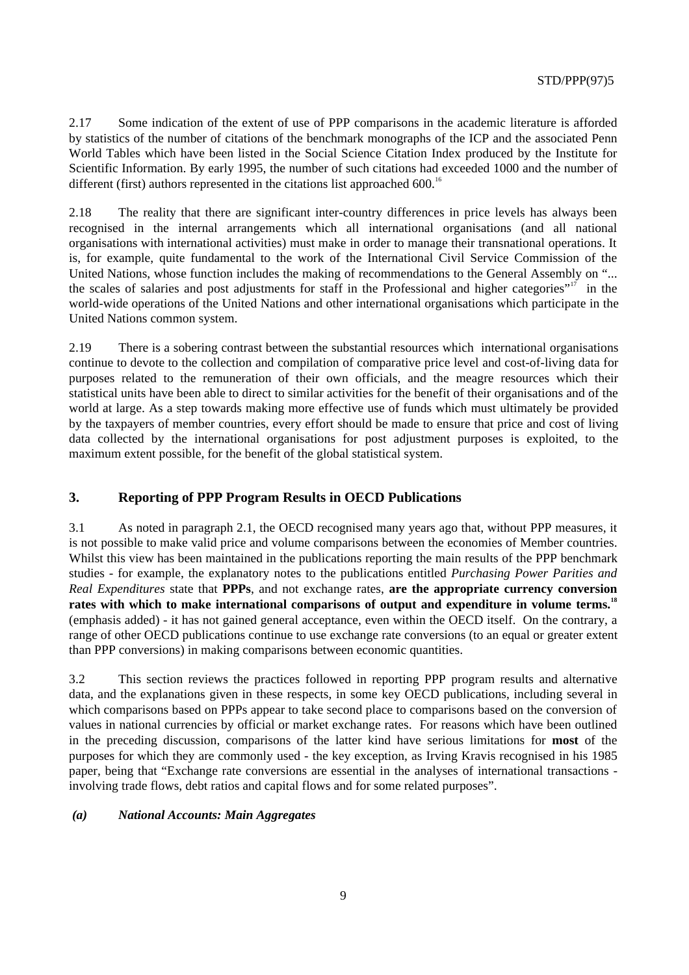2.17 Some indication of the extent of use of PPP comparisons in the academic literature is afforded by statistics of the number of citations of the benchmark monographs of the ICP and the associated Penn World Tables which have been listed in the Social Science Citation Index produced by the Institute for Scientific Information. By early 1995, the number of such citations had exceeded 1000 and the number of different (first) authors represented in the citations list approached  $600$ .<sup>16</sup>

2.18 The reality that there are significant inter-country differences in price levels has always been recognised in the internal arrangements which all international organisations (and all national organisations with international activities) must make in order to manage their transnational operations. It is, for example, quite fundamental to the work of the International Civil Service Commission of the United Nations, whose function includes the making of recommendations to the General Assembly on "... the scales of salaries and post adjustments for staff in the Professional and higher categories"<sup>17</sup> in the world-wide operations of the United Nations and other international organisations which participate in the United Nations common system.

2.19 There is a sobering contrast between the substantial resources which international organisations continue to devote to the collection and compilation of comparative price level and cost-of-living data for purposes related to the remuneration of their own officials, and the meagre resources which their statistical units have been able to direct to similar activities for the benefit of their organisations and of the world at large. As a step towards making more effective use of funds which must ultimately be provided by the taxpayers of member countries, every effort should be made to ensure that price and cost of living data collected by the international organisations for post adjustment purposes is exploited, to the maximum extent possible, for the benefit of the global statistical system.

## **3. Reporting of PPP Program Results in OECD Publications**

3.1 As noted in paragraph 2.1, the OECD recognised many years ago that, without PPP measures, it is not possible to make valid price and volume comparisons between the economies of Member countries. Whilst this view has been maintained in the publications reporting the main results of the PPP benchmark studies - for example, the explanatory notes to the publications entitled *Purchasing Power Parities and Real Expenditures* state that **PPPs**, and not exchange rates, **are the appropriate currency conversion rates with which to make international comparisons of output and expenditure in volume terms.<sup>18</sup>** (emphasis added) - it has not gained general acceptance, even within the OECD itself. On the contrary, a range of other OECD publications continue to use exchange rate conversions (to an equal or greater extent than PPP conversions) in making comparisons between economic quantities.

3.2 This section reviews the practices followed in reporting PPP program results and alternative data, and the explanations given in these respects, in some key OECD publications, including several in which comparisons based on PPPs appear to take second place to comparisons based on the conversion of values in national currencies by official or market exchange rates. For reasons which have been outlined in the preceding discussion, comparisons of the latter kind have serious limitations for **most** of the purposes for which they are commonly used - the key exception, as Irving Kravis recognised in his 1985 paper, being that "Exchange rate conversions are essential in the analyses of international transactions involving trade flows, debt ratios and capital flows and for some related purposes".

#### *(a) National Accounts: Main Aggregates*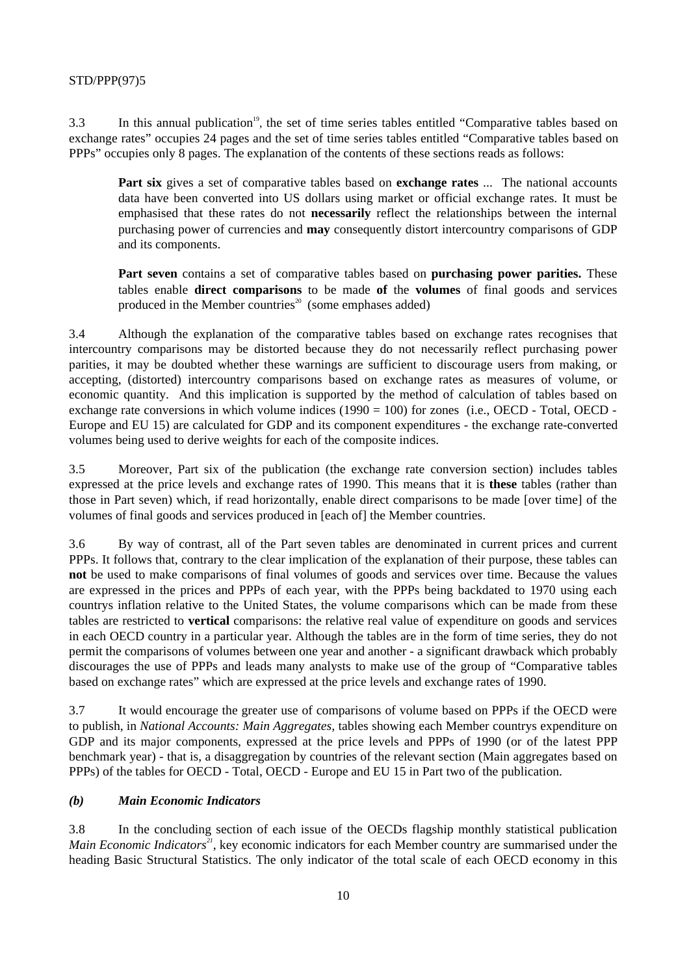3.3 In this annual publication<sup>19</sup>, the set of time series tables entitled "Comparative tables based on exchange rates" occupies 24 pages and the set of time series tables entitled "Comparative tables based on PPPs" occupies only 8 pages. The explanation of the contents of these sections reads as follows:

**Part six** gives a set of comparative tables based on **exchange rates** ... The national accounts data have been converted into US dollars using market or official exchange rates. It must be emphasised that these rates do not **necessarily** reflect the relationships between the internal purchasing power of currencies and **may** consequently distort intercountry comparisons of GDP and its components.

**Part seven** contains a set of comparative tables based on **purchasing power parities.** These tables enable **direct comparisons** to be made **of** the **volumes** of final goods and services produced in the Member countries<sup>20</sup> (some emphases added)

3.4 Although the explanation of the comparative tables based on exchange rates recognises that intercountry comparisons may be distorted because they do not necessarily reflect purchasing power parities, it may be doubted whether these warnings are sufficient to discourage users from making, or accepting, (distorted) intercountry comparisons based on exchange rates as measures of volume, or economic quantity. And this implication is supported by the method of calculation of tables based on exchange rate conversions in which volume indices (1990 = 100) for zones (i.e., OECD - Total, OECD - Europe and EU 15) are calculated for GDP and its component expenditures - the exchange rate-converted volumes being used to derive weights for each of the composite indices.

3.5 Moreover, Part six of the publication (the exchange rate conversion section) includes tables expressed at the price levels and exchange rates of 1990. This means that it is **these** tables (rather than those in Part seven) which, if read horizontally, enable direct comparisons to be made [over time] of the volumes of final goods and services produced in [each of] the Member countries.

3.6 By way of contrast, all of the Part seven tables are denominated in current prices and current PPPs. It follows that, contrary to the clear implication of the explanation of their purpose, these tables can **not** be used to make comparisons of final volumes of goods and services over time. Because the values are expressed in the prices and PPPs of each year, with the PPPs being backdated to 1970 using each countrys inflation relative to the United States, the volume comparisons which can be made from these tables are restricted to **vertical** comparisons: the relative real value of expenditure on goods and services in each OECD country in a particular year. Although the tables are in the form of time series, they do not permit the comparisons of volumes between one year and another - a significant drawback which probably discourages the use of PPPs and leads many analysts to make use of the group of "Comparative tables based on exchange rates" which are expressed at the price levels and exchange rates of 1990.

3.7 It would encourage the greater use of comparisons of volume based on PPPs if the OECD were to publish, in *National Accounts: Main Aggregates,* tables showing each Member countrys expenditure on GDP and its major components, expressed at the price levels and PPPs of 1990 (or of the latest PPP benchmark year) - that is, a disaggregation by countries of the relevant section (Main aggregates based on PPPs) of the tables for OECD - Total, OECD - Europe and EU 15 in Part two of the publication.

#### *(b) Main Economic Indicators*

3.8 In the concluding section of each issue of the OECDs flagship monthly statistical publication *Main Economic Indicators<sup>21</sup>*, key economic indicators for each Member country are summarised under the heading Basic Structural Statistics. The only indicator of the total scale of each OECD economy in this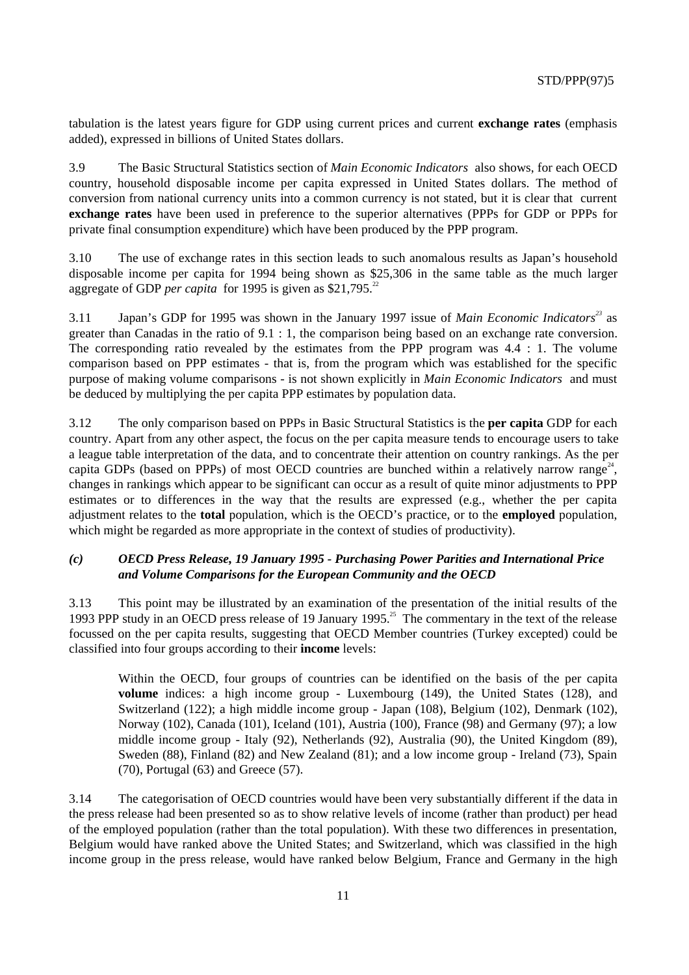tabulation is the latest years figure for GDP using current prices and current **exchange rates** (emphasis added), expressed in billions of United States dollars.

3.9 The Basic Structural Statistics section of *Main Economic Indicators* also shows, for each OECD country, household disposable income per capita expressed in United States dollars. The method of conversion from national currency units into a common currency is not stated, but it is clear that current **exchange rates** have been used in preference to the superior alternatives (PPPs for GDP or PPPs for private final consumption expenditure) which have been produced by the PPP program.

3.10 The use of exchange rates in this section leads to such anomalous results as Japan's household disposable income per capita for 1994 being shown as \$25,306 in the same table as the much larger aggregate of GDP *per capita* for 1995 is given as \$21,795.<sup>22</sup>

3.11 Japan's GDP for 1995 was shown in the January 1997 issue of *Main Economic Indicators<sup>23</sup>* as greater than Canadas in the ratio of 9.1 : 1, the comparison being based on an exchange rate conversion. The corresponding ratio revealed by the estimates from the PPP program was 4.4 : 1. The volume comparison based on PPP estimates - that is, from the program which was established for the specific purpose of making volume comparisons - is not shown explicitly in *Main Economic Indicators* and must be deduced by multiplying the per capita PPP estimates by population data.

3.12 The only comparison based on PPPs in Basic Structural Statistics is the **per capita** GDP for each country. Apart from any other aspect, the focus on the per capita measure tends to encourage users to take a league table interpretation of the data, and to concentrate their attention on country rankings. As the per capita GDPs (based on PPPs) of most OECD countries are bunched within a relatively narrow range<sup>24</sup>, changes in rankings which appear to be significant can occur as a result of quite minor adjustments to PPP estimates or to differences in the way that the results are expressed (e.g., whether the per capita adjustment relates to the **total** population, which is the OECD's practice, or to the **employed** population, which might be regarded as more appropriate in the context of studies of productivity).

#### *(c) OECD Press Release, 19 January 1995 - Purchasing Power Parities and International Price and Volume Comparisons for the European Community and the OECD*

3.13 This point may be illustrated by an examination of the presentation of the initial results of the 1993 PPP study in an OECD press release of 19 January 1995.<sup>25</sup> The commentary in the text of the release focussed on the per capita results, suggesting that OECD Member countries (Turkey excepted) could be classified into four groups according to their **income** levels:

Within the OECD, four groups of countries can be identified on the basis of the per capita **volume** indices: a high income group - Luxembourg (149), the United States (128), and Switzerland (122); a high middle income group - Japan (108), Belgium (102), Denmark (102), Norway (102), Canada (101), Iceland (101), Austria (100), France (98) and Germany (97); a low middle income group - Italy (92), Netherlands (92), Australia (90), the United Kingdom (89), Sweden (88), Finland (82) and New Zealand (81); and a low income group - Ireland (73), Spain (70), Portugal (63) and Greece (57).

3.14 The categorisation of OECD countries would have been very substantially different if the data in the press release had been presented so as to show relative levels of income (rather than product) per head of the employed population (rather than the total population). With these two differences in presentation, Belgium would have ranked above the United States; and Switzerland, which was classified in the high income group in the press release, would have ranked below Belgium, France and Germany in the high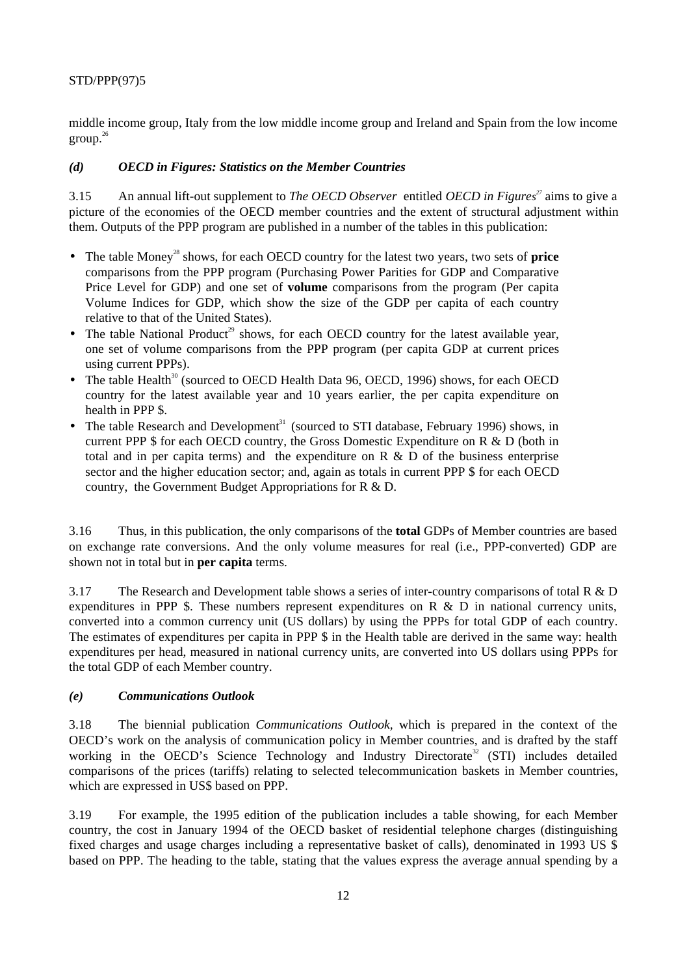middle income group, Italy from the low middle income group and Ireland and Spain from the low income group.26

## *(d) OECD in Figures: Statistics on the Member Countries*

3.15 An annual lift-out supplement to *The OECD Observer* entitled *OECD in Figures <sup>27</sup>* aims to give a picture of the economies of the OECD member countries and the extent of structural adjustment within them. Outputs of the PPP program are published in a number of the tables in this publication:

- The table Money<sup>28</sup> shows, for each OECD country for the latest two years, two sets of **price** comparisons from the PPP program (Purchasing Power Parities for GDP and Comparative Price Level for GDP) and one set of **volume** comparisons from the program (Per capita Volume Indices for GDP, which show the size of the GDP per capita of each country relative to that of the United States).
- The table National Product<sup>29</sup> shows, for each OECD country for the latest available year, one set of volume comparisons from the PPP program (per capita GDP at current prices using current PPPs).
- The table Health $30$  (sourced to OECD Health Data 96, OECD, 1996) shows, for each OECD country for the latest available year and 10 years earlier, the per capita expenditure on health in PPP \$.
- The table Research and Development<sup>31</sup> (sourced to STI database, February 1996) shows, in current PPP \$ for each OECD country, the Gross Domestic Expenditure on R & D (both in total and in per capita terms) and the expenditure on R  $\&$  D of the business enterprise sector and the higher education sector; and, again as totals in current PPP \$ for each OECD country, the Government Budget Appropriations for R & D.

3.16 Thus, in this publication, the only comparisons of the **total** GDPs of Member countries are based on exchange rate conversions. And the only volume measures for real (i.e., PPP-converted) GDP are shown not in total but in **per capita** terms.

3.17 The Research and Development table shows a series of inter-country comparisons of total R & D expenditures in PPP \$. These numbers represent expenditures on R  $\&$  D in national currency units, converted into a common currency unit (US dollars) by using the PPPs for total GDP of each country. The estimates of expenditures per capita in PPP \$ in the Health table are derived in the same way: health expenditures per head, measured in national currency units, are converted into US dollars using PPPs for the total GDP of each Member country.

#### *(e) Communications Outlook*

3.18 The biennial publication *Communications Outlook,* which is prepared in the context of the OECD's work on the analysis of communication policy in Member countries, and is drafted by the staff working in the OECD's Science Technology and Industry Directorate<sup>32</sup> (STI) includes detailed comparisons of the prices (tariffs) relating to selected telecommunication baskets in Member countries, which are expressed in US\$ based on PPP.

3.19 For example, the 1995 edition of the publication includes a table showing, for each Member country, the cost in January 1994 of the OECD basket of residential telephone charges (distinguishing fixed charges and usage charges including a representative basket of calls), denominated in 1993 US \$ based on PPP. The heading to the table, stating that the values express the average annual spending by a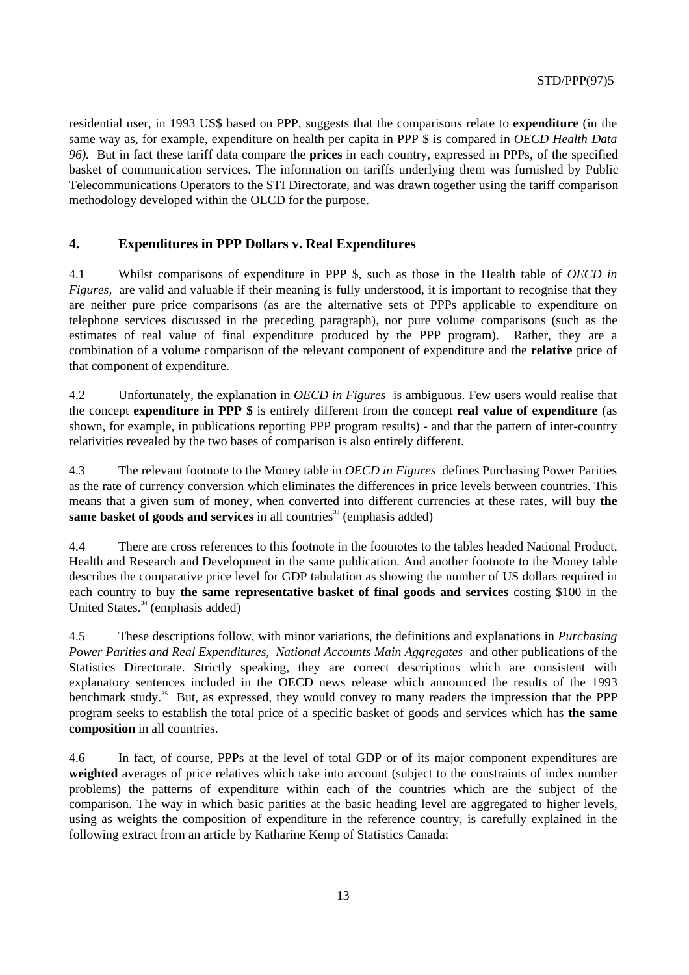residential user, in 1993 US\$ based on PPP, suggests that the comparisons relate to **expenditure** (in the same way as, for example, expenditure on health per capita in PPP \$ is compared in *OECD Health Data 96).* But in fact these tariff data compare the **prices** in each country, expressed in PPPs, of the specified basket of communication services. The information on tariffs underlying them was furnished by Public Telecommunications Operators to the STI Directorate, and was drawn together using the tariff comparison methodology developed within the OECD for the purpose.

## **4. Expenditures in PPP Dollars v. Real Expenditures**

4.1 Whilst comparisons of expenditure in PPP \$, such as those in the Health table of *OECD in Figures,* are valid and valuable if their meaning is fully understood, it is important to recognise that they are neither pure price comparisons (as are the alternative sets of PPPs applicable to expenditure on telephone services discussed in the preceding paragraph), nor pure volume comparisons (such as the estimates of real value of final expenditure produced by the PPP program). Rather, they are a combination of a volume comparison of the relevant component of expenditure and the **relative** price of that component of expenditure.

4.2 Unfortunately, the explanation in *OECD in Figures* is ambiguous. Few users would realise that the concept **expenditure in PPP \$** is entirely different from the concept **real value of expenditure** (as shown, for example, in publications reporting PPP program results) - and that the pattern of inter-country relativities revealed by the two bases of comparison is also entirely different.

4.3 The relevant footnote to the Money table in *OECD in Figures* defines Purchasing Power Parities as the rate of currency conversion which eliminates the differences in price levels between countries. This means that a given sum of money, when converted into different currencies at these rates, will buy **the same basket of goods and services** in all countries<sup>33</sup> (emphasis added)

4.4 There are cross references to this footnote in the footnotes to the tables headed National Product, Health and Research and Development in the same publication. And another footnote to the Money table describes the comparative price level for GDP tabulation as showing the number of US dollars required in each country to buy **the same representative basket of final goods and services** costing \$100 in the United States. $34$  (emphasis added)

4.5 These descriptions follow, with minor variations, the definitions and explanations in *Purchasing Power Parities and Real Expenditures, National Accounts Main Aggregates* and other publications of the Statistics Directorate. Strictly speaking, they are correct descriptions which are consistent with explanatory sentences included in the OECD news release which announced the results of the 1993 benchmark study.<sup>35</sup> But, as expressed, they would convey to many readers the impression that the PPP program seeks to establish the total price of a specific basket of goods and services which has **the same composition** in all countries.

4.6 In fact, of course, PPPs at the level of total GDP or of its major component expenditures are **weighted** averages of price relatives which take into account (subject to the constraints of index number problems) the patterns of expenditure within each of the countries which are the subject of the comparison. The way in which basic parities at the basic heading level are aggregated to higher levels, using as weights the composition of expenditure in the reference country, is carefully explained in the following extract from an article by Katharine Kemp of Statistics Canada: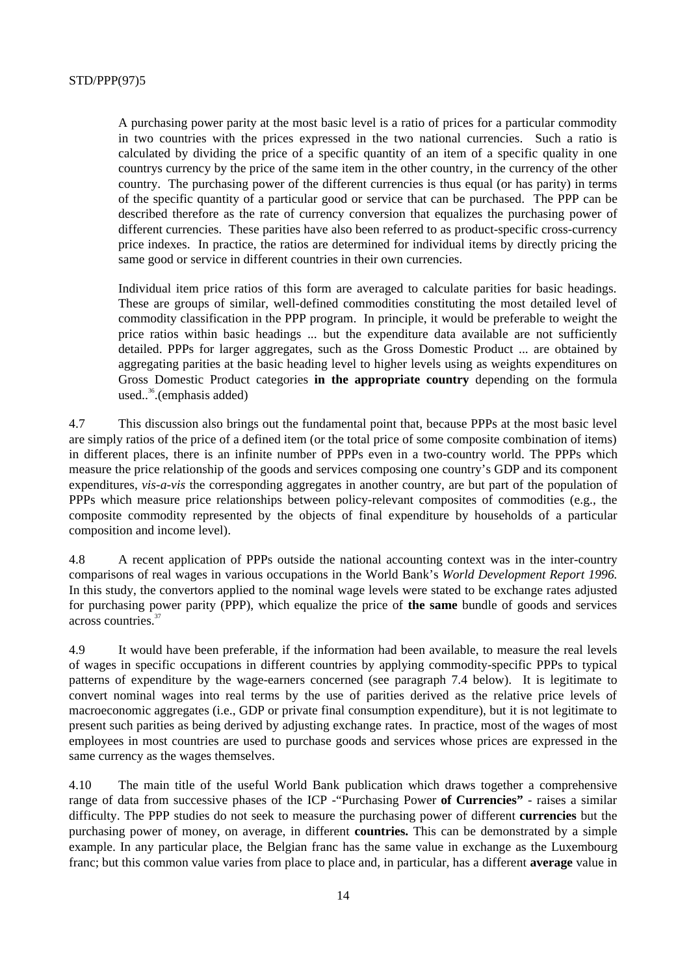A purchasing power parity at the most basic level is a ratio of prices for a particular commodity in two countries with the prices expressed in the two national currencies. Such a ratio is calculated by dividing the price of a specific quantity of an item of a specific quality in one countrys currency by the price of the same item in the other country, in the currency of the other country. The purchasing power of the different currencies is thus equal (or has parity) in terms of the specific quantity of a particular good or service that can be purchased. The PPP can be described therefore as the rate of currency conversion that equalizes the purchasing power of different currencies. These parities have also been referred to as product-specific cross-currency price indexes. In practice, the ratios are determined for individual items by directly pricing the same good or service in different countries in their own currencies.

Individual item price ratios of this form are averaged to calculate parities for basic headings. These are groups of similar, well-defined commodities constituting the most detailed level of commodity classification in the PPP program. In principle, it would be preferable to weight the price ratios within basic headings ... but the expenditure data available are not sufficiently detailed. PPPs for larger aggregates, such as the Gross Domestic Product ... are obtained by aggregating parities at the basic heading level to higher levels using as weights expenditures on Gross Domestic Product categories **in the appropriate country** depending on the formula used.. $36$ .(emphasis added)

4.7 This discussion also brings out the fundamental point that, because PPPs at the most basic level are simply ratios of the price of a defined item (or the total price of some composite combination of items) in different places, there is an infinite number of PPPs even in a two-country world. The PPPs which measure the price relationship of the goods and services composing one country's GDP and its component expenditures, *vis-a-vis* the corresponding aggregates in another country, are but part of the population of PPPs which measure price relationships between policy-relevant composites of commodities (e.g., the composite commodity represented by the objects of final expenditure by households of a particular composition and income level).

4.8 A recent application of PPPs outside the national accounting context was in the inter-country comparisons of real wages in various occupations in the World Bank's *World Development Report 1996.* In this study, the convertors applied to the nominal wage levels were stated to be exchange rates adjusted for purchasing power parity (PPP), which equalize the price of **the same** bundle of goods and services across countries.<sup>37</sup>

4.9 It would have been preferable, if the information had been available, to measure the real levels of wages in specific occupations in different countries by applying commodity-specific PPPs to typical patterns of expenditure by the wage-earners concerned (see paragraph 7.4 below). It is legitimate to convert nominal wages into real terms by the use of parities derived as the relative price levels of macroeconomic aggregates (i.e., GDP or private final consumption expenditure), but it is not legitimate to present such parities as being derived by adjusting exchange rates. In practice, most of the wages of most employees in most countries are used to purchase goods and services whose prices are expressed in the same currency as the wages themselves.

4.10 The main title of the useful World Bank publication which draws together a comprehensive range of data from successive phases of the ICP -"Purchasing Power **of Currencies"** - raises a similar difficulty. The PPP studies do not seek to measure the purchasing power of different **currencies** but the purchasing power of money, on average, in different **countries.** This can be demonstrated by a simple example. In any particular place, the Belgian franc has the same value in exchange as the Luxembourg franc; but this common value varies from place to place and, in particular, has a different **average** value in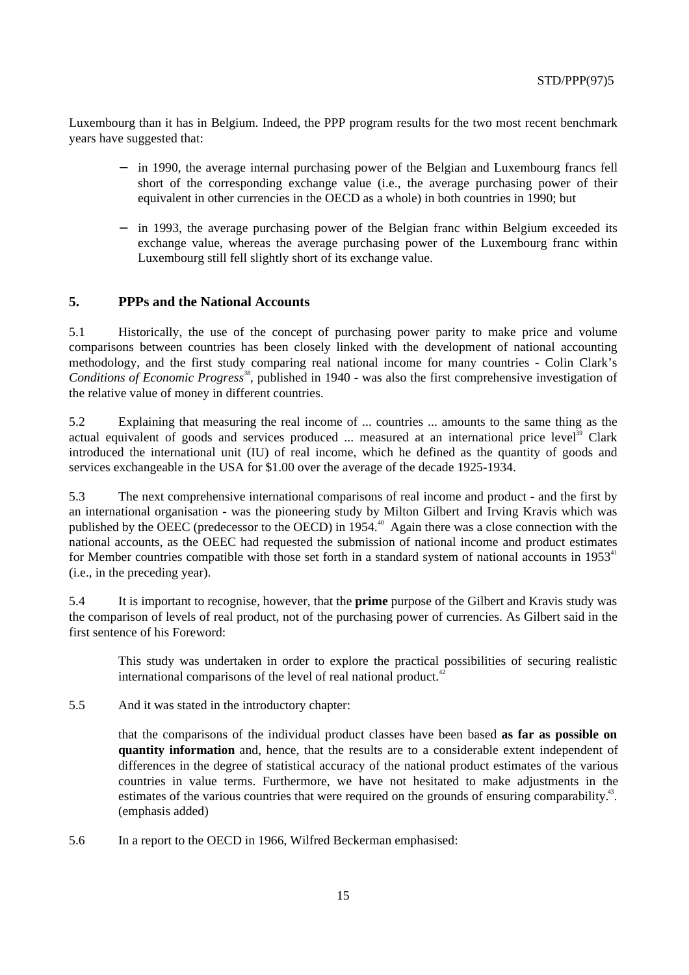Luxembourg than it has in Belgium. Indeed, the PPP program results for the two most recent benchmark years have suggested that:

- in 1990, the average internal purchasing power of the Belgian and Luxembourg francs fell short of the corresponding exchange value (i.e., the average purchasing power of their equivalent in other currencies in the OECD as a whole) in both countries in 1990; but
- in 1993, the average purchasing power of the Belgian franc within Belgium exceeded its exchange value, whereas the average purchasing power of the Luxembourg franc within Luxembourg still fell slightly short of its exchange value.

# **5. PPPs and the National Accounts**

5.1 Historically, the use of the concept of purchasing power parity to make price and volume comparisons between countries has been closely linked with the development of national accounting methodology, and the first study comparing real national income for many countries - Colin Clark's Conditions of Economic Progress<sup>38</sup>, published in 1940 - was also the first comprehensive investigation of the relative value of money in different countries.

5.2 Explaining that measuring the real income of ... countries ... amounts to the same thing as the actual equivalent of goods and services produced ... measured at an international price level<sup>39</sup> Clark introduced the international unit (IU) of real income, which he defined as the quantity of goods and services exchangeable in the USA for \$1.00 over the average of the decade 1925-1934.

5.3 The next comprehensive international comparisons of real income and product - and the first by an international organisation - was the pioneering study by Milton Gilbert and Irving Kravis which was published by the OEEC (predecessor to the OECD) in  $1954<sup>40</sup>$  Again there was a close connection with the national accounts, as the OEEC had requested the submission of national income and product estimates for Member countries compatible with those set forth in a standard system of national accounts in  $1953<sup>41</sup>$ (i.e., in the preceding year).

5.4 It is important to recognise, however, that the **prime** purpose of the Gilbert and Kravis study was the comparison of levels of real product, not of the purchasing power of currencies. As Gilbert said in the first sentence of his Foreword:

This study was undertaken in order to explore the practical possibilities of securing realistic international comparisons of the level of real national product. $42$ 

5.5 And it was stated in the introductory chapter:

that the comparisons of the individual product classes have been based **as far as possible on quantity information** and, hence, that the results are to a considerable extent independent of differences in the degree of statistical accuracy of the national product estimates of the various countries in value terms. Furthermore, we have not hesitated to make adjustments in the estimates of the various countries that were required on the grounds of ensuring comparability.<sup>43</sup>. (emphasis added)

5.6 In a report to the OECD in 1966, Wilfred Beckerman emphasised: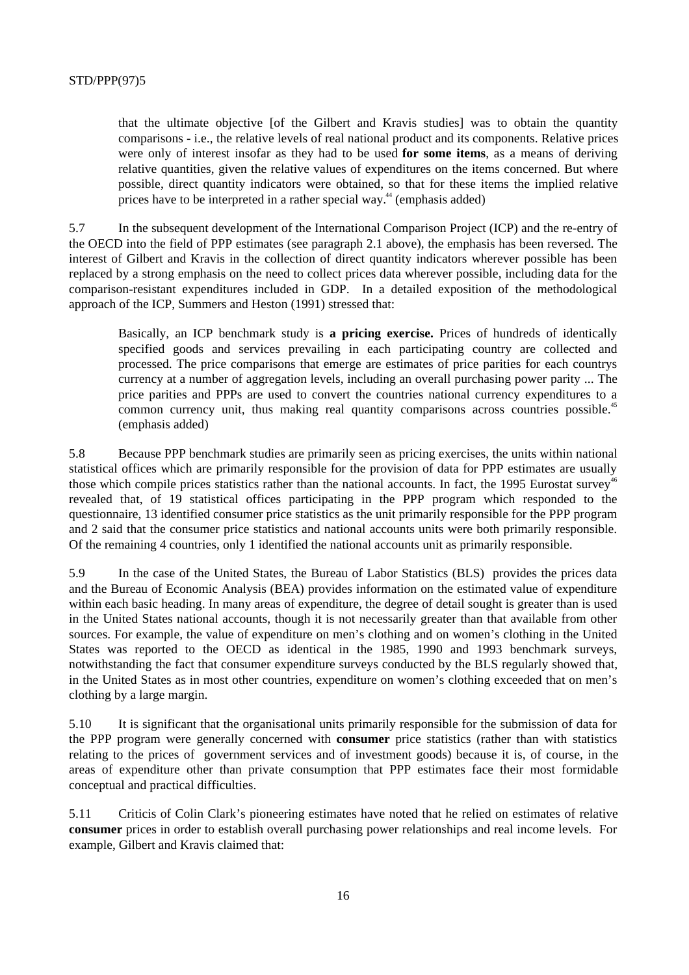that the ultimate objective [of the Gilbert and Kravis studies] was to obtain the quantity comparisons - i.e., the relative levels of real national product and its components. Relative prices were only of interest insofar as they had to be used **for some items**, as a means of deriving relative quantities, given the relative values of expenditures on the items concerned. But where possible, direct quantity indicators were obtained, so that for these items the implied relative prices have to be interpreted in a rather special way. $44$  (emphasis added)

5.7 In the subsequent development of the International Comparison Project (ICP) and the re-entry of the OECD into the field of PPP estimates (see paragraph 2.1 above), the emphasis has been reversed. The interest of Gilbert and Kravis in the collection of direct quantity indicators wherever possible has been replaced by a strong emphasis on the need to collect prices data wherever possible, including data for the comparison-resistant expenditures included in GDP. In a detailed exposition of the methodological approach of the ICP, Summers and Heston (1991) stressed that:

Basically, an ICP benchmark study is **a pricing exercise.** Prices of hundreds of identically specified goods and services prevailing in each participating country are collected and processed. The price comparisons that emerge are estimates of price parities for each countrys currency at a number of aggregation levels, including an overall purchasing power parity ... The price parities and PPPs are used to convert the countries national currency expenditures to a common currency unit, thus making real quantity comparisons across countries possible.<sup>45</sup> (emphasis added)

5.8 Because PPP benchmark studies are primarily seen as pricing exercises, the units within national statistical offices which are primarily responsible for the provision of data for PPP estimates are usually those which compile prices statistics rather than the national accounts. In fact, the 1995 Eurostat survey<sup>46</sup> revealed that, of 19 statistical offices participating in the PPP program which responded to the questionnaire, 13 identified consumer price statistics as the unit primarily responsible for the PPP program and 2 said that the consumer price statistics and national accounts units were both primarily responsible. Of the remaining 4 countries, only 1 identified the national accounts unit as primarily responsible.

5.9 In the case of the United States, the Bureau of Labor Statistics (BLS) provides the prices data and the Bureau of Economic Analysis (BEA) provides information on the estimated value of expenditure within each basic heading. In many areas of expenditure, the degree of detail sought is greater than is used in the United States national accounts, though it is not necessarily greater than that available from other sources. For example, the value of expenditure on men's clothing and on women's clothing in the United States was reported to the OECD as identical in the 1985, 1990 and 1993 benchmark surveys, notwithstanding the fact that consumer expenditure surveys conducted by the BLS regularly showed that, in the United States as in most other countries, expenditure on women's clothing exceeded that on men's clothing by a large margin.

5.10 It is significant that the organisational units primarily responsible for the submission of data for the PPP program were generally concerned with **consumer** price statistics (rather than with statistics relating to the prices of government services and of investment goods) because it is, of course, in the areas of expenditure other than private consumption that PPP estimates face their most formidable conceptual and practical difficulties.

5.11 Criticis of Colin Clark's pioneering estimates have noted that he relied on estimates of relative **consumer** prices in order to establish overall purchasing power relationships and real income levels. For example, Gilbert and Kravis claimed that: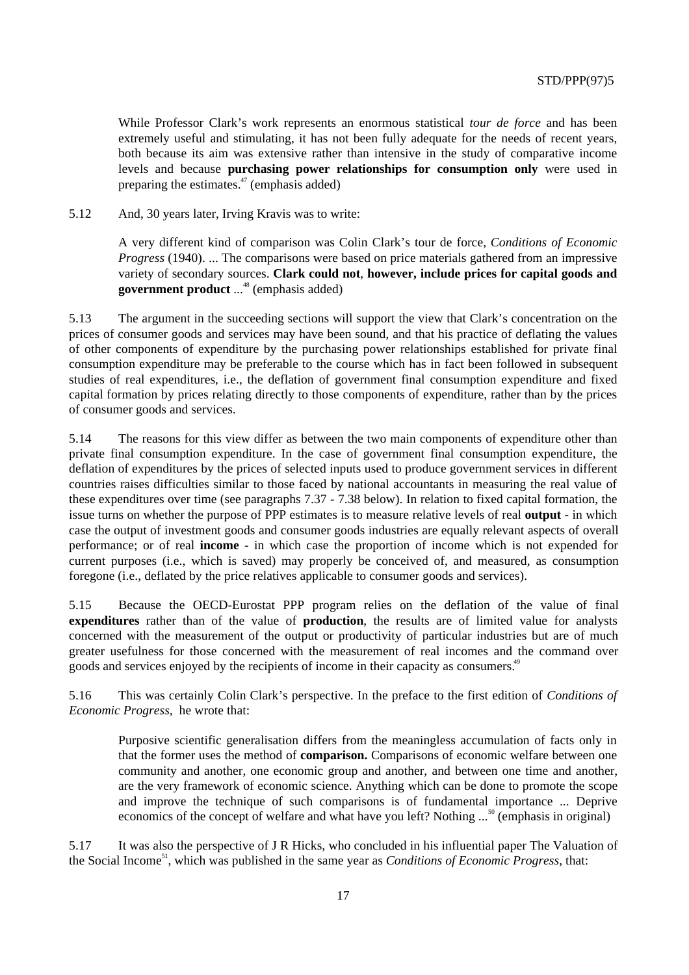While Professor Clark's work represents an enormous statistical *tour de force* and has been extremely useful and stimulating, it has not been fully adequate for the needs of recent years, both because its aim was extensive rather than intensive in the study of comparative income levels and because **purchasing power relationships for consumption only** were used in preparing the estimates. $47$  (emphasis added)

5.12 And, 30 years later, Irving Kravis was to write:

A very different kind of comparison was Colin Clark's tour de force, *Conditions of Economic Progress* (1940). ... The comparisons were based on price materials gathered from an impressive variety of secondary sources. **Clark could not**, **however, include prices for capital goods and government product** ...<sup>48</sup> (emphasis added)

5.13 The argument in the succeeding sections will support the view that Clark's concentration on the prices of consumer goods and services may have been sound, and that his practice of deflating the values of other components of expenditure by the purchasing power relationships established for private final consumption expenditure may be preferable to the course which has in fact been followed in subsequent studies of real expenditures, i.e., the deflation of government final consumption expenditure and fixed capital formation by prices relating directly to those components of expenditure, rather than by the prices of consumer goods and services.

5.14 The reasons for this view differ as between the two main components of expenditure other than private final consumption expenditure. In the case of government final consumption expenditure, the deflation of expenditures by the prices of selected inputs used to produce government services in different countries raises difficulties similar to those faced by national accountants in measuring the real value of these expenditures over time (see paragraphs 7.37 - 7.38 below). In relation to fixed capital formation, the issue turns on whether the purpose of PPP estimates is to measure relative levels of real **output** - in which case the output of investment goods and consumer goods industries are equally relevant aspects of overall performance; or of real **income** - in which case the proportion of income which is not expended for current purposes (i.e., which is saved) may properly be conceived of, and measured, as consumption foregone (i.e., deflated by the price relatives applicable to consumer goods and services).

5.15 Because the OECD-Eurostat PPP program relies on the deflation of the value of final **expenditures** rather than of the value of **production**, the results are of limited value for analysts concerned with the measurement of the output or productivity of particular industries but are of much greater usefulness for those concerned with the measurement of real incomes and the command over goods and services enjoyed by the recipients of income in their capacity as consumers.<sup>49</sup>

5.16 This was certainly Colin Clark's perspective. In the preface to the first edition of *Conditions of Economic Progress,* he wrote that:

Purposive scientific generalisation differs from the meaningless accumulation of facts only in that the former uses the method of **comparison.** Comparisons of economic welfare between one community and another, one economic group and another, and between one time and another, are the very framework of economic science. Anything which can be done to promote the scope and improve the technique of such comparisons is of fundamental importance ... Deprive economics of the concept of welfare and what have you left? Nothing ...<sup>50</sup> (emphasis in original)

5.17 It was also the perspective of J R Hicks, who concluded in his influential paper The Valuation of the Social Income<sup>51</sup>, which was published in the same year as *Conditions of Economic Progress*, that: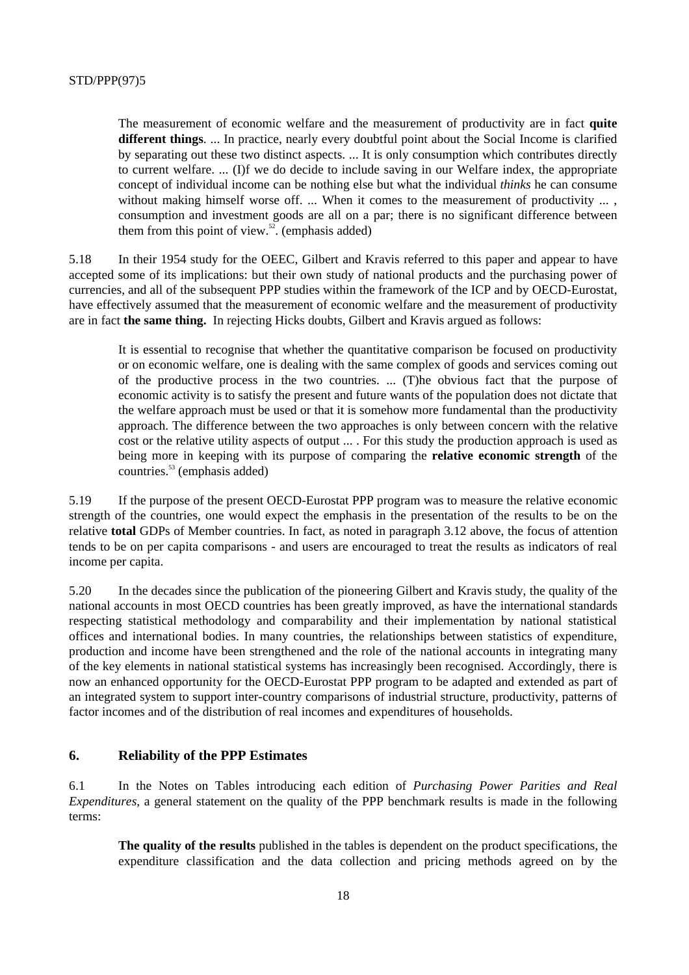The measurement of economic welfare and the measurement of productivity are in fact **quite different things**. ... In practice, nearly every doubtful point about the Social Income is clarified by separating out these two distinct aspects. ... It is only consumption which contributes directly to current welfare. ... (I)f we do decide to include saving in our Welfare index, the appropriate concept of individual income can be nothing else but what the individual *thinks* he can consume without making himself worse off. ... When it comes to the measurement of productivity  $\ldots$ . consumption and investment goods are all on a par; there is no significant difference between them from this point of view. $52$ . (emphasis added)

5.18 In their 1954 study for the OEEC, Gilbert and Kravis referred to this paper and appear to have accepted some of its implications: but their own study of national products and the purchasing power of currencies, and all of the subsequent PPP studies within the framework of the ICP and by OECD-Eurostat, have effectively assumed that the measurement of economic welfare and the measurement of productivity are in fact **the same thing.** In rejecting Hicks doubts, Gilbert and Kravis argued as follows:

It is essential to recognise that whether the quantitative comparison be focused on productivity or on economic welfare, one is dealing with the same complex of goods and services coming out of the productive process in the two countries. ... (T)he obvious fact that the purpose of economic activity is to satisfy the present and future wants of the population does not dictate that the welfare approach must be used or that it is somehow more fundamental than the productivity approach. The difference between the two approaches is only between concern with the relative cost or the relative utility aspects of output ... . For this study the production approach is used as being more in keeping with its purpose of comparing the **relative economic strength** of the countries. $53$  (emphasis added)

5.19 If the purpose of the present OECD-Eurostat PPP program was to measure the relative economic strength of the countries, one would expect the emphasis in the presentation of the results to be on the relative **total** GDPs of Member countries. In fact, as noted in paragraph 3.12 above, the focus of attention tends to be on per capita comparisons - and users are encouraged to treat the results as indicators of real income per capita.

5.20 In the decades since the publication of the pioneering Gilbert and Kravis study, the quality of the national accounts in most OECD countries has been greatly improved, as have the international standards respecting statistical methodology and comparability and their implementation by national statistical offices and international bodies. In many countries, the relationships between statistics of expenditure, production and income have been strengthened and the role of the national accounts in integrating many of the key elements in national statistical systems has increasingly been recognised. Accordingly, there is now an enhanced opportunity for the OECD-Eurostat PPP program to be adapted and extended as part of an integrated system to support inter-country comparisons of industrial structure, productivity, patterns of factor incomes and of the distribution of real incomes and expenditures of households.

## **6. Reliability of the PPP Estimates**

6.1 In the Notes on Tables introducing each edition of *Purchasing Power Parities and Real Expenditures*, a general statement on the quality of the PPP benchmark results is made in the following terms:

**The quality of the results** published in the tables is dependent on the product specifications, the expenditure classification and the data collection and pricing methods agreed on by the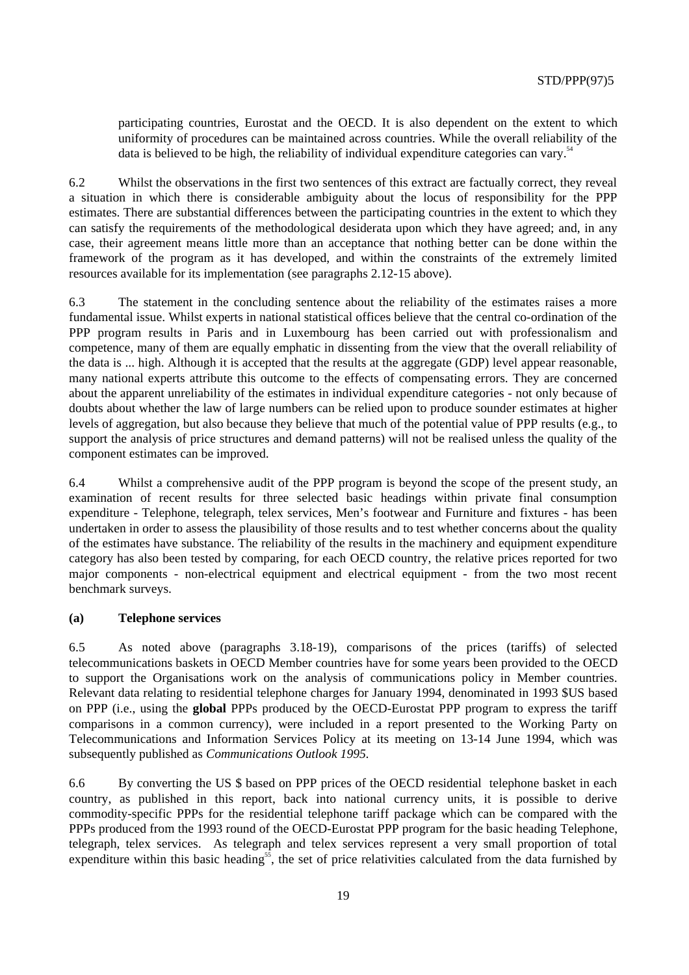participating countries, Eurostat and the OECD. It is also dependent on the extent to which uniformity of procedures can be maintained across countries. While the overall reliability of the data is believed to be high, the reliability of individual expenditure categories can vary.<sup>54</sup>

6.2 Whilst the observations in the first two sentences of this extract are factually correct, they reveal a situation in which there is considerable ambiguity about the locus of responsibility for the PPP estimates. There are substantial differences between the participating countries in the extent to which they can satisfy the requirements of the methodological desiderata upon which they have agreed; and, in any case, their agreement means little more than an acceptance that nothing better can be done within the framework of the program as it has developed, and within the constraints of the extremely limited resources available for its implementation (see paragraphs 2.12-15 above).

6.3 The statement in the concluding sentence about the reliability of the estimates raises a more fundamental issue. Whilst experts in national statistical offices believe that the central co-ordination of the PPP program results in Paris and in Luxembourg has been carried out with professionalism and competence, many of them are equally emphatic in dissenting from the view that the overall reliability of the data is ... high. Although it is accepted that the results at the aggregate (GDP) level appear reasonable, many national experts attribute this outcome to the effects of compensating errors. They are concerned about the apparent unreliability of the estimates in individual expenditure categories - not only because of doubts about whether the law of large numbers can be relied upon to produce sounder estimates at higher levels of aggregation, but also because they believe that much of the potential value of PPP results (e.g., to support the analysis of price structures and demand patterns) will not be realised unless the quality of the component estimates can be improved.

6.4 Whilst a comprehensive audit of the PPP program is beyond the scope of the present study, an examination of recent results for three selected basic headings within private final consumption expenditure - Telephone, telegraph, telex services, Men's footwear and Furniture and fixtures - has been undertaken in order to assess the plausibility of those results and to test whether concerns about the quality of the estimates have substance. The reliability of the results in the machinery and equipment expenditure category has also been tested by comparing, for each OECD country, the relative prices reported for two major components - non-electrical equipment and electrical equipment - from the two most recent benchmark surveys.

#### **(a) Telephone services**

6.5 As noted above (paragraphs 3.18-19), comparisons of the prices (tariffs) of selected telecommunications baskets in OECD Member countries have for some years been provided to the OECD to support the Organisations work on the analysis of communications policy in Member countries. Relevant data relating to residential telephone charges for January 1994, denominated in 1993 \$US based on PPP (i.e., using the **global** PPPs produced by the OECD-Eurostat PPP program to express the tariff comparisons in a common currency), were included in a report presented to the Working Party on Telecommunications and Information Services Policy at its meeting on 13-14 June 1994, which was subsequently published as *Communications Outlook 1995.*

6.6 By converting the US \$ based on PPP prices of the OECD residential telephone basket in each country, as published in this report, back into national currency units, it is possible to derive commodity-specific PPPs for the residential telephone tariff package which can be compared with the PPPs produced from the 1993 round of the OECD-Eurostat PPP program for the basic heading Telephone, telegraph, telex services. As telegraph and telex services represent a very small proportion of total expenditure within this basic heading<sup>55</sup>, the set of price relativities calculated from the data furnished by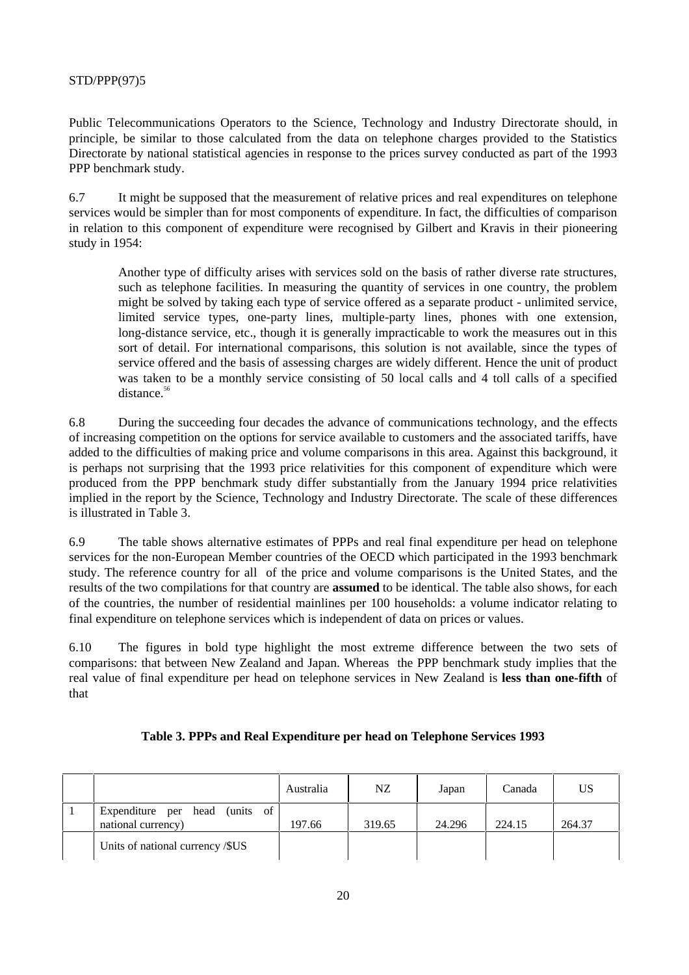Public Telecommunications Operators to the Science, Technology and Industry Directorate should, in principle, be similar to those calculated from the data on telephone charges provided to the Statistics Directorate by national statistical agencies in response to the prices survey conducted as part of the 1993 PPP benchmark study.

6.7 It might be supposed that the measurement of relative prices and real expenditures on telephone services would be simpler than for most components of expenditure. In fact, the difficulties of comparison in relation to this component of expenditure were recognised by Gilbert and Kravis in their pioneering study in 1954:

Another type of difficulty arises with services sold on the basis of rather diverse rate structures, such as telephone facilities. In measuring the quantity of services in one country, the problem might be solved by taking each type of service offered as a separate product - unlimited service, limited service types, one-party lines, multiple-party lines, phones with one extension, long-distance service, etc., though it is generally impracticable to work the measures out in this sort of detail. For international comparisons, this solution is not available, since the types of service offered and the basis of assessing charges are widely different. Hence the unit of product was taken to be a monthly service consisting of 50 local calls and 4 toll calls of a specified distance.<sup>56</sup>

6.8 During the succeeding four decades the advance of communications technology, and the effects of increasing competition on the options for service available to customers and the associated tariffs, have added to the difficulties of making price and volume comparisons in this area. Against this background, it is perhaps not surprising that the 1993 price relativities for this component of expenditure which were produced from the PPP benchmark study differ substantially from the January 1994 price relativities implied in the report by the Science, Technology and Industry Directorate. The scale of these differences is illustrated in Table 3.

6.9 The table shows alternative estimates of PPPs and real final expenditure per head on telephone services for the non-European Member countries of the OECD which participated in the 1993 benchmark study. The reference country for all of the price and volume comparisons is the United States, and the results of the two compilations for that country are **assumed** to be identical. The table also shows, for each of the countries, the number of residential mainlines per 100 households: a volume indicator relating to final expenditure on telephone services which is independent of data on prices or values.

6.10 The figures in bold type highlight the most extreme difference between the two sets of comparisons: that between New Zealand and Japan. Whereas the PPP benchmark study implies that the real value of final expenditure per head on telephone services in New Zealand is **less than one-fifth** of that

|                                                      | Australia | NZ.    | Japan  | Canada | US     |
|------------------------------------------------------|-----------|--------|--------|--------|--------|
| Expenditure per head (units of<br>national currency) | 197.66    | 319.65 | 24.296 | 224.15 | 264.37 |
| Units of national currency /\$US                     |           |        |        |        |        |

## **Table 3. PPPs and Real Expenditure per head on Telephone Services 1993**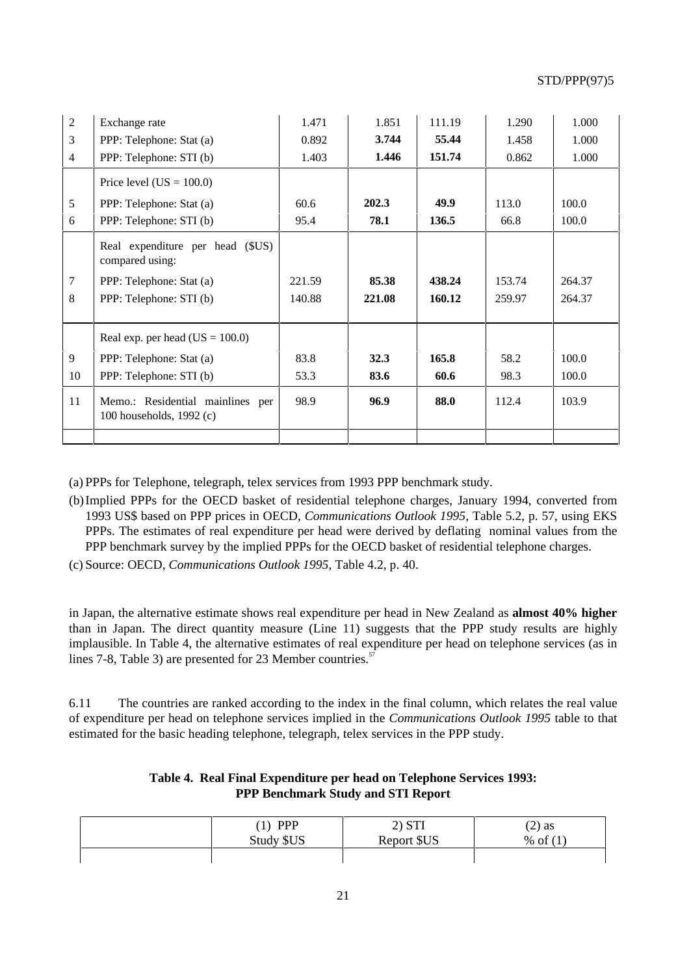| $\overline{2}$ | Exchange rate                                                | 1.471  | 1.851  | 111.19 | 1.290  | 1.000  |
|----------------|--------------------------------------------------------------|--------|--------|--------|--------|--------|
| 3              | PPP: Telephone: Stat (a)                                     | 0.892  | 3.744  | 55.44  | 1.458  | 1.000  |
| $\overline{4}$ | PPP: Telephone: STI (b)                                      | 1.403  | 1.446  | 151.74 | 0.862  | 1.000  |
|                | Price level $(US = 100.0)$                                   |        |        |        |        |        |
| 5              | PPP: Telephone: Stat (a)                                     | 60.6   | 202.3  | 49.9   | 113.0  | 100.0  |
| 6              | PPP: Telephone: STI (b)                                      | 95.4   | 78.1   | 136.5  | 66.8   | 100.0  |
|                | Real expenditure per head (\$US)<br>compared using:          |        |        |        |        |        |
| $\overline{7}$ | PPP: Telephone: Stat (a)                                     | 221.59 | 85.38  | 438.24 | 153.74 | 264.37 |
| 8              | PPP: Telephone: STI (b)                                      | 140.88 | 221.08 | 160.12 | 259.97 | 264.37 |
|                |                                                              |        |        |        |        |        |
|                | Real exp. per head $(US = 100.0)$                            |        |        |        |        |        |
| 9              | PPP: Telephone: Stat (a)                                     | 83.8   | 32.3   | 165.8  | 58.2   | 100.0  |
| 10             | PPP: Telephone: STI (b)                                      | 53.3   | 83.6   | 60.6   | 98.3   | 100.0  |
| 11             | Memo.: Residential mainlines per<br>100 households, 1992 (c) | 98.9   | 96.9   | 88.0   | 112.4  | 103.9  |
|                |                                                              |        |        |        |        |        |

(a) PPPs for Telephone, telegraph, telex services from 1993 PPP benchmark study.

- (b)Implied PPPs for the OECD basket of residential telephone charges, January 1994, converted from 1993 US\$ based on PPP prices in OECD, *Communications Outlook 1995*, Table 5.2, p. 57, using EKS PPPs. The estimates of real expenditure per head were derived by deflating nominal values from the PPP benchmark survey by the implied PPPs for the OECD basket of residential telephone charges.
- (c) Source: OECD, *Communications Outlook 1995*, Table 4.2, p. 40.

in Japan, the alternative estimate shows real expenditure per head in New Zealand as **almost 40% higher** than in Japan. The direct quantity measure (Line 11) suggests that the PPP study results are highly implausible. In Table 4, the alternative estimates of real expenditure per head on telephone services (as in lines 7-8, Table 3) are presented for 23 Member countries.<sup>57</sup>

6.11 The countries are ranked according to the index in the final column, which relates the real value of expenditure per head on telephone services implied in the *Communications Outlook 1995* table to that estimated for the basic heading telephone, telegraph, telex services in the PPP study.

| $(1)$ PPP  | 2) STI      | $(2)$ as   |
|------------|-------------|------------|
| Study \$US | Report \$US | % of $(1)$ |
|            |             |            |

## **Table 4. Real Final Expenditure per head on Telephone Services 1993: PPP Benchmark Study and STI Report**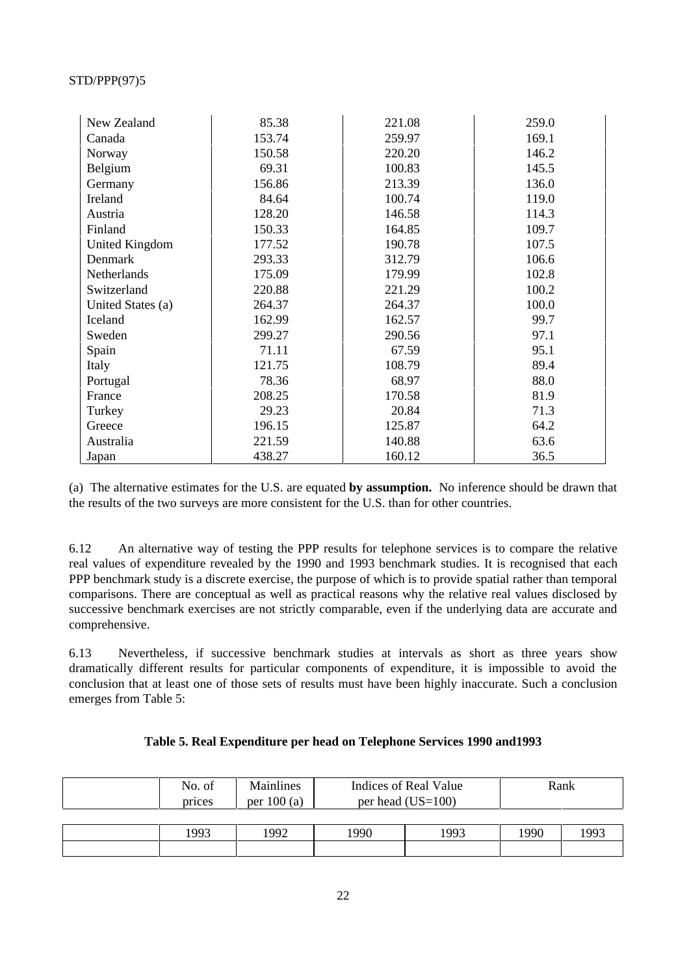| New Zealand       | 85.38  | 221.08 | 259.0 |
|-------------------|--------|--------|-------|
| Canada            | 153.74 | 259.97 | 169.1 |
| Norway            | 150.58 | 220.20 | 146.2 |
| Belgium           | 69.31  | 100.83 | 145.5 |
| Germany           | 156.86 | 213.39 | 136.0 |
| Ireland           | 84.64  | 100.74 | 119.0 |
| Austria           | 128.20 | 146.58 | 114.3 |
| Finland           | 150.33 | 164.85 | 109.7 |
| United Kingdom    | 177.52 | 190.78 | 107.5 |
| Denmark           | 293.33 | 312.79 | 106.6 |
| Netherlands       | 175.09 | 179.99 | 102.8 |
| Switzerland       | 220.88 | 221.29 | 100.2 |
| United States (a) | 264.37 | 264.37 | 100.0 |
| Iceland           | 162.99 | 162.57 | 99.7  |
| Sweden            | 299.27 | 290.56 | 97.1  |
| Spain             | 71.11  | 67.59  | 95.1  |
| Italy             | 121.75 | 108.79 | 89.4  |
| Portugal          | 78.36  | 68.97  | 88.0  |
| France            | 208.25 | 170.58 | 81.9  |
| Turkey            | 29.23  | 20.84  | 71.3  |
| Greece            | 196.15 | 125.87 | 64.2  |
| Australia         | 221.59 | 140.88 | 63.6  |
| Japan             | 438.27 | 160.12 | 36.5  |

(a) The alternative estimates for the U.S. are equated **by assumption.** No inference should be drawn that the results of the two surveys are more consistent for the U.S. than for other countries.

6.12 An alternative way of testing the PPP results for telephone services is to compare the relative real values of expenditure revealed by the 1990 and 1993 benchmark studies. It is recognised that each PPP benchmark study is a discrete exercise, the purpose of which is to provide spatial rather than temporal comparisons. There are conceptual as well as practical reasons why the relative real values disclosed by successive benchmark exercises are not strictly comparable, even if the underlying data are accurate and comprehensive.

6.13 Nevertheless, if successive benchmark studies at intervals as short as three years show dramatically different results for particular components of expenditure, it is impossible to avoid the conclusion that at least one of those sets of results must have been highly inaccurate. Such a conclusion emerges from Table 5:

| Table 5. Real Expenditure per head on Telephone Services 1990 and 1993 |  |  |  |
|------------------------------------------------------------------------|--|--|--|
|                                                                        |  |  |  |

| No. of<br>prices | Mainlines<br>per $100(a)$ | Indices of Real Value<br>per head $(US=100)$ |      | Rank |      |
|------------------|---------------------------|----------------------------------------------|------|------|------|
|                  |                           |                                              |      |      |      |
| 1993             | 1992                      | .990                                         | 1993 | 1990 | 1993 |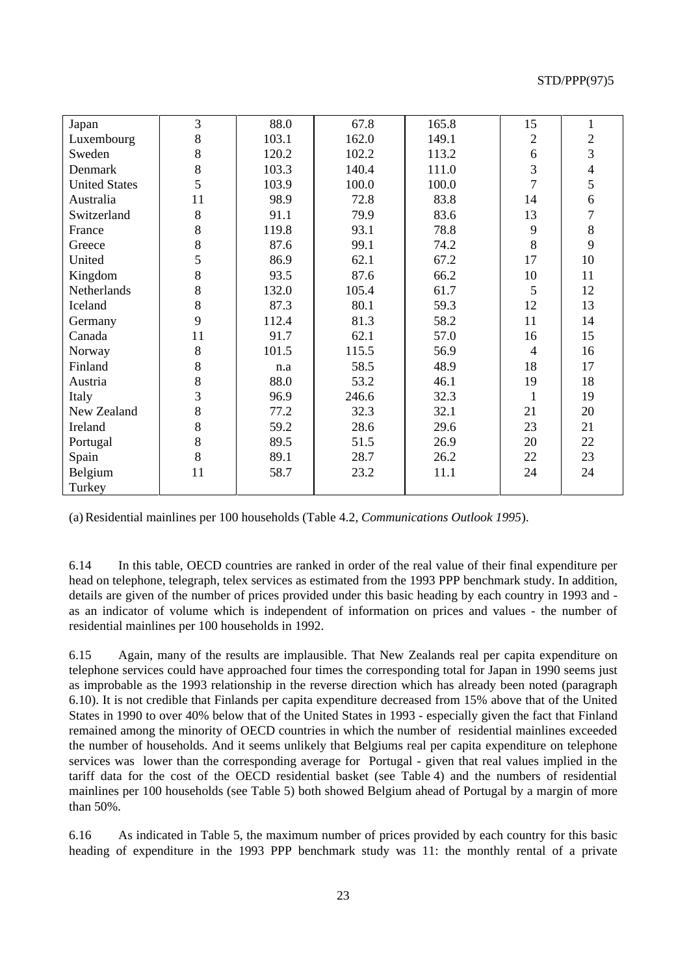| Japan                | 3       | 88.0  | 67.8  | 165.8 | 15             | $\mathbf{1}$   |
|----------------------|---------|-------|-------|-------|----------------|----------------|
| Luxembourg           | 8       | 103.1 | 162.0 | 149.1 | $\mathbf{2}$   | $\overline{c}$ |
| Sweden               | 8       | 120.2 | 102.2 | 113.2 | 6              | $\overline{3}$ |
| Denmark              | $8\,$   | 103.3 | 140.4 | 111.0 | 3              | $\overline{4}$ |
| <b>United States</b> | 5       | 103.9 | 100.0 | 100.0 | $\overline{7}$ | 5              |
| Australia            | 11      | 98.9  | 72.8  | 83.8  | 14             | 6              |
| Switzerland          | 8       | 91.1  | 79.9  | 83.6  | 13             | $\overline{7}$ |
| France               | 8       | 119.8 | 93.1  | 78.8  | 9              | 8              |
| Greece               | 8       | 87.6  | 99.1  | 74.2  | 8              | 9              |
| United               | 5       | 86.9  | 62.1  | 67.2  | 17             | 10             |
| Kingdom              | 8       | 93.5  | 87.6  | 66.2  | 10             | 11             |
| Netherlands          | $\,8\,$ | 132.0 | 105.4 | 61.7  | 5              | 12             |
| Iceland              | 8       | 87.3  | 80.1  | 59.3  | 12             | 13             |
| Germany              | 9       | 112.4 | 81.3  | 58.2  | 11             | 14             |
| Canada               | 11      | 91.7  | 62.1  | 57.0  | 16             | 15             |
| Norway               | 8       | 101.5 | 115.5 | 56.9  | $\overline{4}$ | 16             |
| Finland              | 8       | n.a   | 58.5  | 48.9  | 18             | 17             |
| Austria              | 8       | 88.0  | 53.2  | 46.1  | 19             | 18             |
| Italy                | 3       | 96.9  | 246.6 | 32.3  | 1              | 19             |
| New Zealand          | 8       | 77.2  | 32.3  | 32.1  | 21             | 20             |
| Ireland              | $\,8\,$ | 59.2  | 28.6  | 29.6  | 23             | 21             |
| Portugal             | $\,8\,$ | 89.5  | 51.5  | 26.9  | 20             | 22             |
| Spain                | 8       | 89.1  | 28.7  | 26.2  | 22             | 23             |
| Belgium              | 11      | 58.7  | 23.2  | 11.1  | 24             | 24             |
| Turkey               |         |       |       |       |                |                |

(a) Residential mainlines per 100 households (Table 4.2, *Communications Outlook 1995*).

6.14 In this table, OECD countries are ranked in order of the real value of their final expenditure per head on telephone, telegraph, telex services as estimated from the 1993 PPP benchmark study. In addition, details are given of the number of prices provided under this basic heading by each country in 1993 and as an indicator of volume which is independent of information on prices and values - the number of residential mainlines per 100 households in 1992.

6.15 Again, many of the results are implausible. That New Zealands real per capita expenditure on telephone services could have approached four times the corresponding total for Japan in 1990 seems just as improbable as the 1993 relationship in the reverse direction which has already been noted (paragraph 6.10). It is not credible that Finlands per capita expenditure decreased from 15% above that of the United States in 1990 to over 40% below that of the United States in 1993 - especially given the fact that Finland remained among the minority of OECD countries in which the number of residential mainlines exceeded the number of households. And it seems unlikely that Belgiums real per capita expenditure on telephone services was lower than the corresponding average for Portugal - given that real values implied in the tariff data for the cost of the OECD residential basket (see Table 4) and the numbers of residential mainlines per 100 households (see Table 5) both showed Belgium ahead of Portugal by a margin of more than 50%.

6.16 As indicated in Table 5, the maximum number of prices provided by each country for this basic heading of expenditure in the 1993 PPP benchmark study was 11: the monthly rental of a private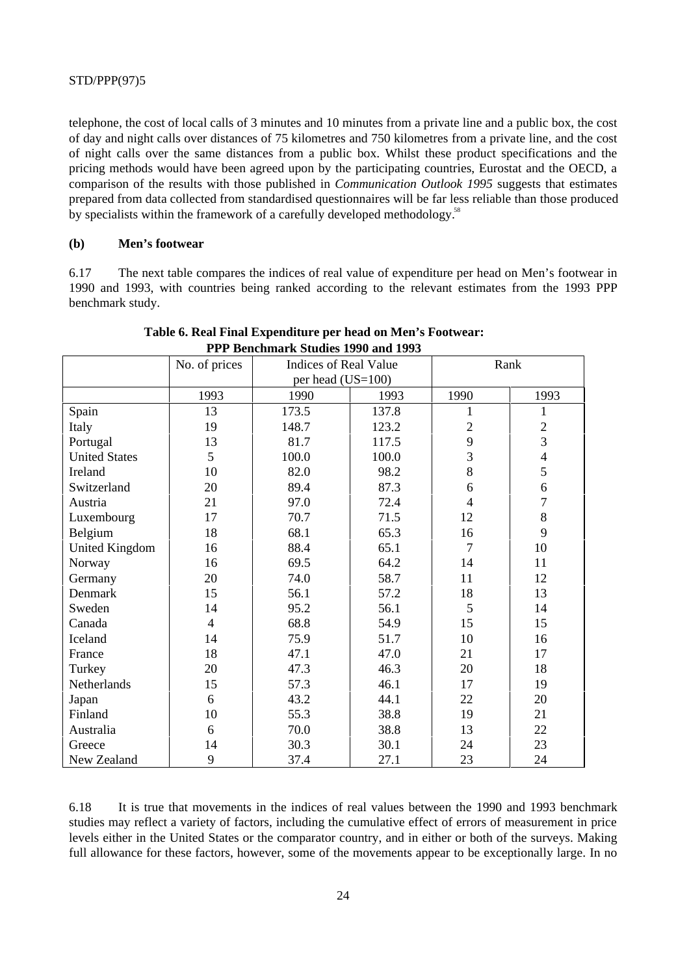telephone, the cost of local calls of 3 minutes and 10 minutes from a private line and a public box, the cost of day and night calls over distances of 75 kilometres and 750 kilometres from a private line, and the cost of night calls over the same distances from a public box. Whilst these product specifications and the pricing methods would have been agreed upon by the participating countries, Eurostat and the OECD, a comparison of the results with those published in *Communication Outlook 1995* suggests that estimates prepared from data collected from standardised questionnaires will be far less reliable than those produced by specialists within the framework of a carefully developed methodology.<sup>58</sup>

#### **(b) Men's footwear**

6.17 The next table compares the indices of real value of expenditure per head on Men's footwear in 1990 and 1993, with countries being ranked according to the relevant estimates from the 1993 PPP benchmark study.

|                       | No. of prices  | Indices of Real Value |       | Rank           |                |
|-----------------------|----------------|-----------------------|-------|----------------|----------------|
|                       |                | per head (US=100)     |       |                |                |
|                       | 1993           | 1990                  | 1993  | 1990           | 1993           |
| Spain                 | 13             | 173.5                 | 137.8 | 1              | 1              |
| Italy                 | 19             | 148.7                 | 123.2 | $\overline{2}$ | $\overline{c}$ |
| Portugal              | 13             | 81.7                  | 117.5 | 9              | $\overline{3}$ |
| <b>United States</b>  | 5              | 100.0                 | 100.0 | $\overline{3}$ | $\overline{4}$ |
| Ireland               | 10             | 82.0                  | 98.2  | 8              | 5              |
| Switzerland           | 20             | 89.4                  | 87.3  | 6              | 6              |
| Austria               | 21             | 97.0                  | 72.4  | $\overline{4}$ | $\overline{7}$ |
| Luxembourg            | 17             | 70.7                  | 71.5  | 12             | 8              |
| Belgium               | 18             | 68.1                  | 65.3  | 16             | 9              |
| <b>United Kingdom</b> | 16             | 88.4                  | 65.1  | $\overline{7}$ | 10             |
| Norway                | 16             | 69.5                  | 64.2  | 14             | 11             |
| Germany               | 20             | 74.0                  | 58.7  | 11             | 12             |
| Denmark               | 15             | 56.1                  | 57.2  | 18             | 13             |
| Sweden                | 14             | 95.2                  | 56.1  | 5              | 14             |
| Canada                | $\overline{4}$ | 68.8                  | 54.9  | 15             | 15             |
| Iceland               | 14             | 75.9                  | 51.7  | 10             | 16             |
| France                | 18             | 47.1                  | 47.0  | 21             | 17             |
| Turkey                | 20             | 47.3                  | 46.3  | 20             | 18             |
| Netherlands           | 15             | 57.3                  | 46.1  | 17             | 19             |
| Japan                 | 6              | 43.2                  | 44.1  | 22             | 20             |
| Finland               | 10             | 55.3                  | 38.8  | 19             | 21             |
| Australia             | 6              | 70.0                  | 38.8  | 13             | 22             |
| Greece                | 14             | 30.3                  | 30.1  | 24             | 23             |
| New Zealand           | 9              | 37.4                  | 27.1  | 23             | 24             |

## **Table 6. Real Final Expenditure per head on Men's Footwear: PPP Benchmark Studies 1990 and 1993**

6.18 It is true that movements in the indices of real values between the 1990 and 1993 benchmark studies may reflect a variety of factors, including the cumulative effect of errors of measurement in price levels either in the United States or the comparator country, and in either or both of the surveys. Making full allowance for these factors, however, some of the movements appear to be exceptionally large. In no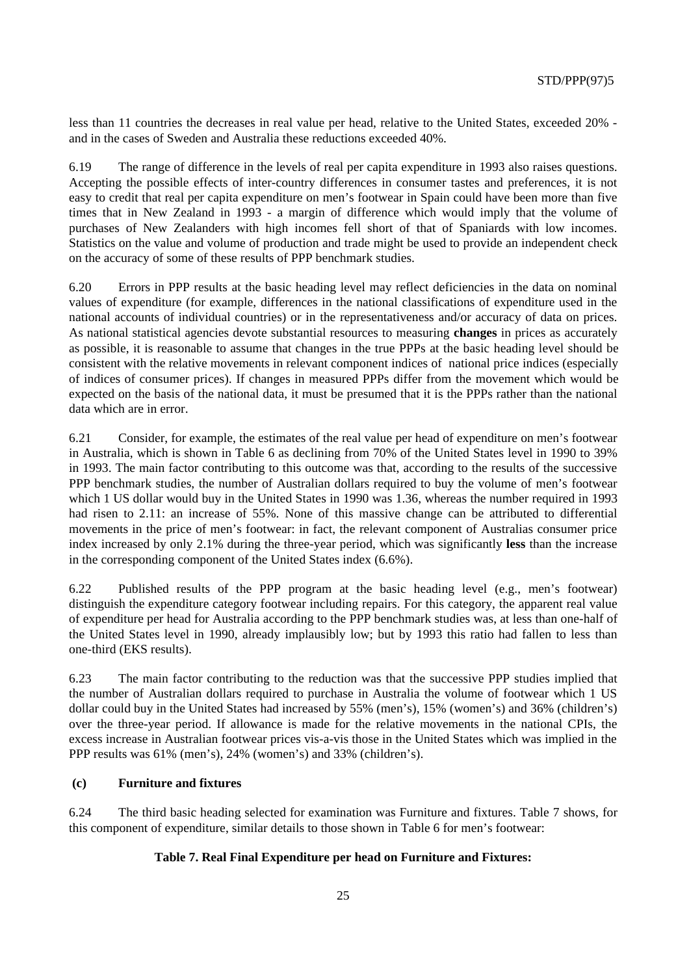less than 11 countries the decreases in real value per head, relative to the United States, exceeded 20% and in the cases of Sweden and Australia these reductions exceeded 40%.

6.19 The range of difference in the levels of real per capita expenditure in 1993 also raises questions. Accepting the possible effects of inter-country differences in consumer tastes and preferences, it is not easy to credit that real per capita expenditure on men's footwear in Spain could have been more than five times that in New Zealand in 1993 - a margin of difference which would imply that the volume of purchases of New Zealanders with high incomes fell short of that of Spaniards with low incomes. Statistics on the value and volume of production and trade might be used to provide an independent check on the accuracy of some of these results of PPP benchmark studies.

6.20 Errors in PPP results at the basic heading level may reflect deficiencies in the data on nominal values of expenditure (for example, differences in the national classifications of expenditure used in the national accounts of individual countries) or in the representativeness and/or accuracy of data on prices. As national statistical agencies devote substantial resources to measuring **changes** in prices as accurately as possible, it is reasonable to assume that changes in the true PPPs at the basic heading level should be consistent with the relative movements in relevant component indices of national price indices (especially of indices of consumer prices). If changes in measured PPPs differ from the movement which would be expected on the basis of the national data, it must be presumed that it is the PPPs rather than the national data which are in error.

6.21 Consider, for example, the estimates of the real value per head of expenditure on men's footwear in Australia, which is shown in Table 6 as declining from 70% of the United States level in 1990 to 39% in 1993. The main factor contributing to this outcome was that, according to the results of the successive PPP benchmark studies, the number of Australian dollars required to buy the volume of men's footwear which 1 US dollar would buy in the United States in 1990 was 1.36, whereas the number required in 1993 had risen to 2.11: an increase of 55%. None of this massive change can be attributed to differential movements in the price of men's footwear: in fact, the relevant component of Australias consumer price index increased by only 2.1% during the three-year period, which was significantly **less** than the increase in the corresponding component of the United States index (6.6%).

6.22 Published results of the PPP program at the basic heading level (e.g., men's footwear) distinguish the expenditure category footwear including repairs. For this category, the apparent real value of expenditure per head for Australia according to the PPP benchmark studies was, at less than one-half of the United States level in 1990, already implausibly low; but by 1993 this ratio had fallen to less than one-third (EKS results).

6.23 The main factor contributing to the reduction was that the successive PPP studies implied that the number of Australian dollars required to purchase in Australia the volume of footwear which 1 US dollar could buy in the United States had increased by 55% (men's), 15% (women's) and 36% (children's) over the three-year period. If allowance is made for the relative movements in the national CPIs, the excess increase in Australian footwear prices vis-a-vis those in the United States which was implied in the PPP results was 61% (men's), 24% (women's) and 33% (children's).

#### **(c) Furniture and fixtures**

6.24 The third basic heading selected for examination was Furniture and fixtures. Table 7 shows, for this component of expenditure, similar details to those shown in Table 6 for men's footwear:

#### **Table 7. Real Final Expenditure per head on Furniture and Fixtures:**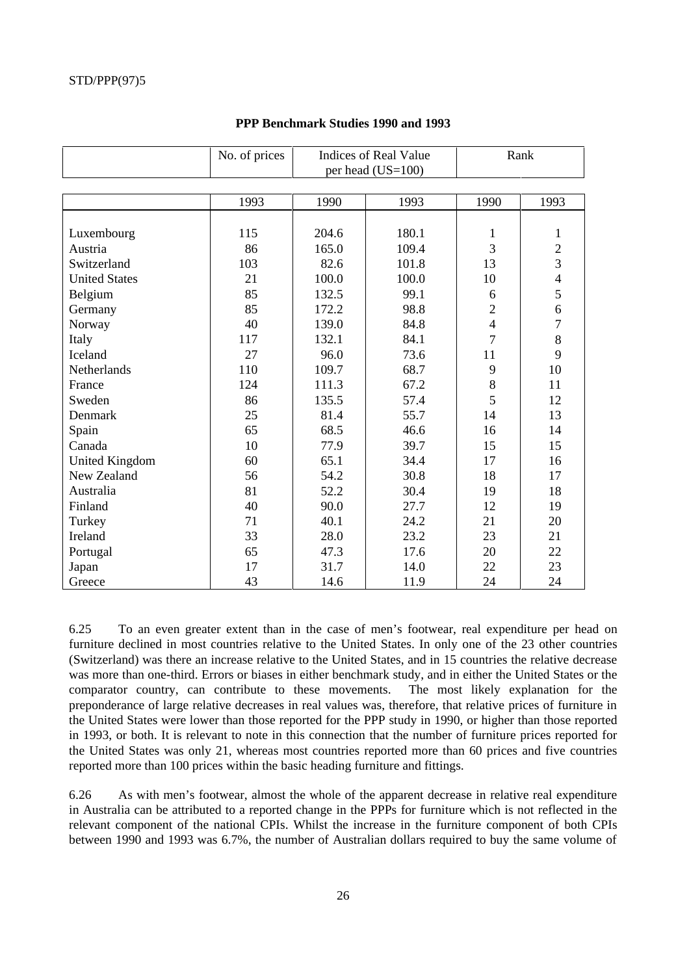|                       | No. of prices | <b>Indices of Real Value</b><br>per head (US=100) |       |                | Rank           |
|-----------------------|---------------|---------------------------------------------------|-------|----------------|----------------|
|                       |               |                                                   |       |                |                |
|                       | 1993          | 1990                                              | 1993  | 1990           | 1993           |
|                       |               |                                                   |       |                |                |
| Luxembourg            | 115           | 204.6                                             | 180.1 | 1              | 1              |
| Austria               | 86            | 165.0                                             | 109.4 | 3              | $\mathfrak{2}$ |
| Switzerland           | 103           | 82.6                                              | 101.8 | 13             | 3              |
| <b>United States</b>  | 21            | 100.0                                             | 100.0 | 10             | $\overline{4}$ |
| Belgium               | 85            | 132.5                                             | 99.1  | 6              | 5              |
| Germany               | 85            | 172.2                                             | 98.8  | $\overline{2}$ | 6              |
| Norway                | 40            | 139.0                                             | 84.8  | $\overline{4}$ | $\tau$         |
| Italy                 | 117           | 132.1                                             | 84.1  | $\overline{7}$ | 8              |
| Iceland               | 27            | 96.0                                              | 73.6  | 11             | 9              |
| Netherlands           | 110           | 109.7                                             | 68.7  | 9              | 10             |
| France                | 124           | 111.3                                             | 67.2  | 8              | 11             |
| Sweden                | 86            | 135.5                                             | 57.4  | 5              | 12             |
| Denmark               | 25            | 81.4                                              | 55.7  | 14             | 13             |
| Spain                 | 65            | 68.5                                              | 46.6  | 16             | 14             |
| Canada                | 10            | 77.9                                              | 39.7  | 15             | 15             |
| <b>United Kingdom</b> | 60            | 65.1                                              | 34.4  | 17             | 16             |
| New Zealand           | 56            | 54.2                                              | 30.8  | 18             | 17             |
| Australia             | 81            | 52.2                                              | 30.4  | 19             | 18             |
| Finland               | 40            | 90.0                                              | 27.7  | 12             | 19             |
| Turkey                | 71            | 40.1                                              | 24.2  | 21             | 20             |
| Ireland               | 33            | 28.0                                              | 23.2  | 23             | 21             |
| Portugal              | 65            | 47.3                                              | 17.6  | 20             | 22             |
| Japan                 | 17            | 31.7                                              | 14.0  | 22             | 23             |
| Greece                | 43            | 14.6                                              | 11.9  | 24             | 24             |

#### **PPP Benchmark Studies 1990 and 1993**

6.25 To an even greater extent than in the case of men's footwear, real expenditure per head on furniture declined in most countries relative to the United States. In only one of the 23 other countries (Switzerland) was there an increase relative to the United States, and in 15 countries the relative decrease was more than one-third. Errors or biases in either benchmark study, and in either the United States or the comparator country, can contribute to these movements. The most likely explanation for the preponderance of large relative decreases in real values was, therefore, that relative prices of furniture in the United States were lower than those reported for the PPP study in 1990, or higher than those reported in 1993, or both. It is relevant to note in this connection that the number of furniture prices reported for the United States was only 21, whereas most countries reported more than 60 prices and five countries reported more than 100 prices within the basic heading furniture and fittings.

6.26 As with men's footwear, almost the whole of the apparent decrease in relative real expenditure in Australia can be attributed to a reported change in the PPPs for furniture which is not reflected in the relevant component of the national CPIs. Whilst the increase in the furniture component of both CPIs between 1990 and 1993 was 6.7%, the number of Australian dollars required to buy the same volume of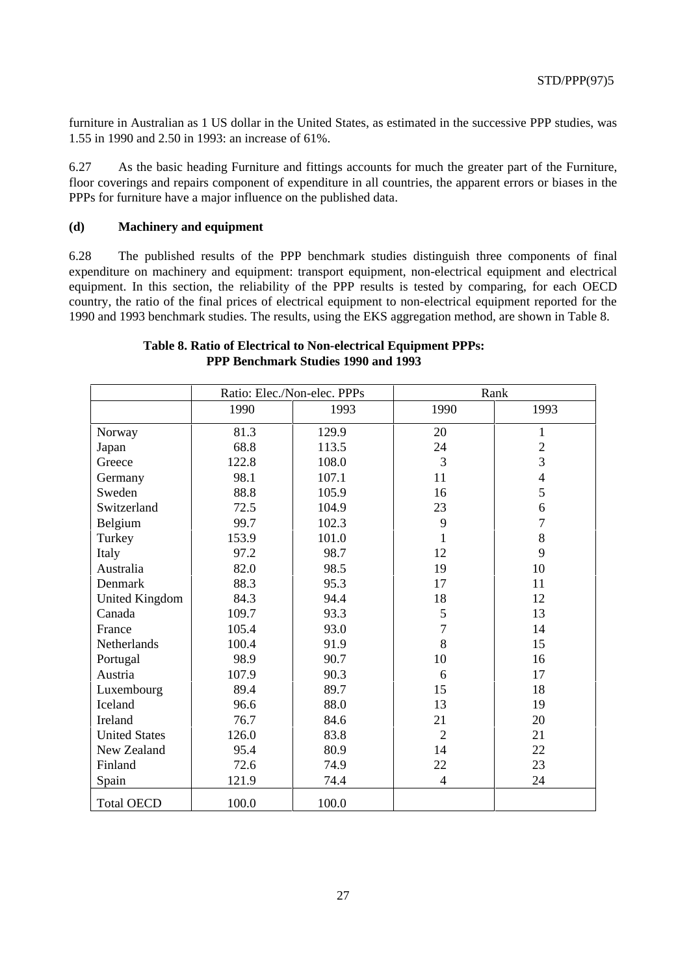furniture in Australian as 1 US dollar in the United States, as estimated in the successive PPP studies, was 1.55 in 1990 and 2.50 in 1993: an increase of 61%.

6.27 As the basic heading Furniture and fittings accounts for much the greater part of the Furniture, floor coverings and repairs component of expenditure in all countries, the apparent errors or biases in the PPPs for furniture have a major influence on the published data.

#### **(d) Machinery and equipment**

6.28 The published results of the PPP benchmark studies distinguish three components of final expenditure on machinery and equipment: transport equipment, non-electrical equipment and electrical equipment. In this section, the reliability of the PPP results is tested by comparing, for each OECD country, the ratio of the final prices of electrical equipment to non-electrical equipment reported for the 1990 and 1993 benchmark studies. The results, using the EKS aggregation method, are shown in Table 8.

|                       | Ratio: Elec./Non-elec. PPPs |       | Rank           |                |
|-----------------------|-----------------------------|-------|----------------|----------------|
|                       | 1990                        | 1993  | 1990           | 1993           |
| Norway                | 81.3                        | 129.9 | 20             | $\mathbf{1}$   |
| Japan                 | 68.8                        | 113.5 | 24             | $\mathbf{2}$   |
| Greece                | 122.8                       | 108.0 | 3              | $\overline{3}$ |
| Germany               | 98.1                        | 107.1 | 11             | $\overline{4}$ |
| Sweden                | 88.8                        | 105.9 | 16             | 5              |
| Switzerland           | 72.5                        | 104.9 | 23             | 6              |
| Belgium               | 99.7                        | 102.3 | 9              | $\overline{7}$ |
| Turkey                | 153.9                       | 101.0 | 1              | $\,8\,$        |
| Italy                 | 97.2                        | 98.7  | 12             | 9              |
| Australia             | 82.0                        | 98.5  | 19             | 10             |
| Denmark               | 88.3                        | 95.3  | 17             | 11             |
| <b>United Kingdom</b> | 84.3                        | 94.4  | 18             | 12             |
| Canada                | 109.7                       | 93.3  | 5              | 13             |
| France                | 105.4                       | 93.0  | $\overline{7}$ | 14             |
| Netherlands           | 100.4                       | 91.9  | 8              | 15             |
| Portugal              | 98.9                        | 90.7  | 10             | 16             |
| Austria               | 107.9                       | 90.3  | 6              | 17             |
| Luxembourg            | 89.4                        | 89.7  | 15             | 18             |
| Iceland               | 96.6                        | 88.0  | 13             | 19             |
| Ireland               | 76.7                        | 84.6  | 21             | 20             |
| <b>United States</b>  | 126.0                       | 83.8  | $\overline{2}$ | 21             |
| New Zealand           | 95.4                        | 80.9  | 14             | 22             |
| Finland               | 72.6                        | 74.9  | 22             | 23             |
| Spain                 | 121.9                       | 74.4  | $\overline{4}$ | 24             |
| <b>Total OECD</b>     | 100.0                       | 100.0 |                |                |

## **Table 8. Ratio of Electrical to Non-electrical Equipment PPPs: PPP Benchmark Studies 1990 and 1993**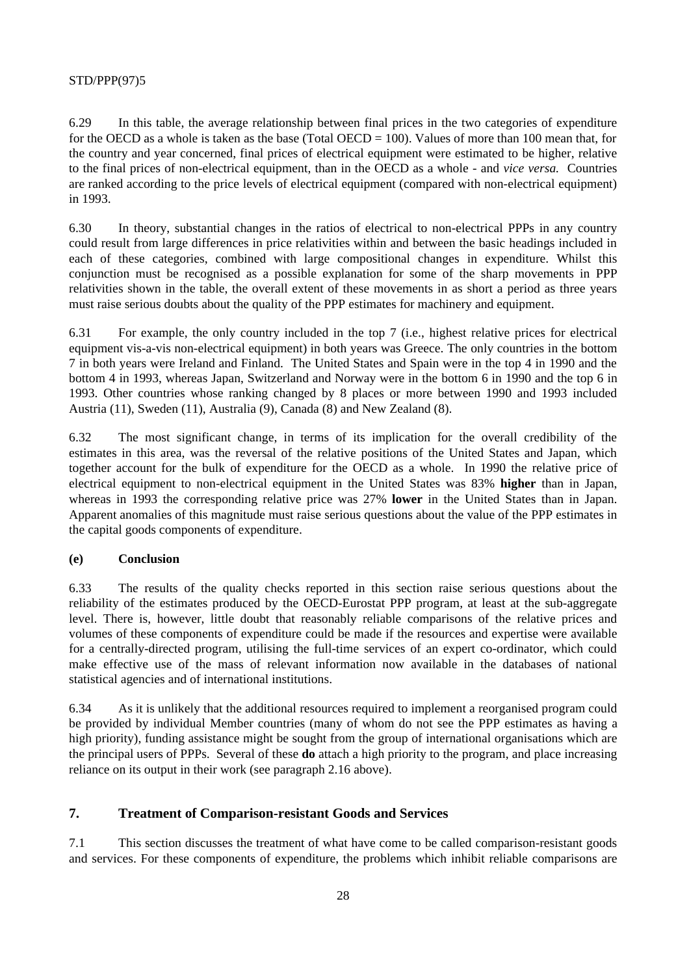6.29 In this table, the average relationship between final prices in the two categories of expenditure for the OECD as a whole is taken as the base (Total OECD =  $100$ ). Values of more than 100 mean that, for the country and year concerned, final prices of electrical equipment were estimated to be higher, relative to the final prices of non-electrical equipment, than in the OECD as a whole - and *vice versa.* Countries are ranked according to the price levels of electrical equipment (compared with non-electrical equipment) in 1993.

6.30 In theory, substantial changes in the ratios of electrical to non-electrical PPPs in any country could result from large differences in price relativities within and between the basic headings included in each of these categories, combined with large compositional changes in expenditure. Whilst this conjunction must be recognised as a possible explanation for some of the sharp movements in PPP relativities shown in the table, the overall extent of these movements in as short a period as three years must raise serious doubts about the quality of the PPP estimates for machinery and equipment.

6.31 For example, the only country included in the top 7 (i.e., highest relative prices for electrical equipment vis-a-vis non-electrical equipment) in both years was Greece. The only countries in the bottom 7 in both years were Ireland and Finland. The United States and Spain were in the top 4 in 1990 and the bottom 4 in 1993, whereas Japan, Switzerland and Norway were in the bottom 6 in 1990 and the top 6 in 1993. Other countries whose ranking changed by 8 places or more between 1990 and 1993 included Austria (11), Sweden (11), Australia (9), Canada (8) and New Zealand (8).

6.32 The most significant change, in terms of its implication for the overall credibility of the estimates in this area, was the reversal of the relative positions of the United States and Japan, which together account for the bulk of expenditure for the OECD as a whole. In 1990 the relative price of electrical equipment to non-electrical equipment in the United States was 83% **higher** than in Japan, whereas in 1993 the corresponding relative price was 27% **lower** in the United States than in Japan. Apparent anomalies of this magnitude must raise serious questions about the value of the PPP estimates in the capital goods components of expenditure.

## **(e) Conclusion**

6.33 The results of the quality checks reported in this section raise serious questions about the reliability of the estimates produced by the OECD-Eurostat PPP program, at least at the sub-aggregate level. There is, however, little doubt that reasonably reliable comparisons of the relative prices and volumes of these components of expenditure could be made if the resources and expertise were available for a centrally-directed program, utilising the full-time services of an expert co-ordinator, which could make effective use of the mass of relevant information now available in the databases of national statistical agencies and of international institutions.

6.34 As it is unlikely that the additional resources required to implement a reorganised program could be provided by individual Member countries (many of whom do not see the PPP estimates as having a high priority), funding assistance might be sought from the group of international organisations which are the principal users of PPPs. Several of these **do** attach a high priority to the program, and place increasing reliance on its output in their work (see paragraph 2.16 above).

## **7. Treatment of Comparison-resistant Goods and Services**

7.1 This section discusses the treatment of what have come to be called comparison-resistant goods and services. For these components of expenditure, the problems which inhibit reliable comparisons are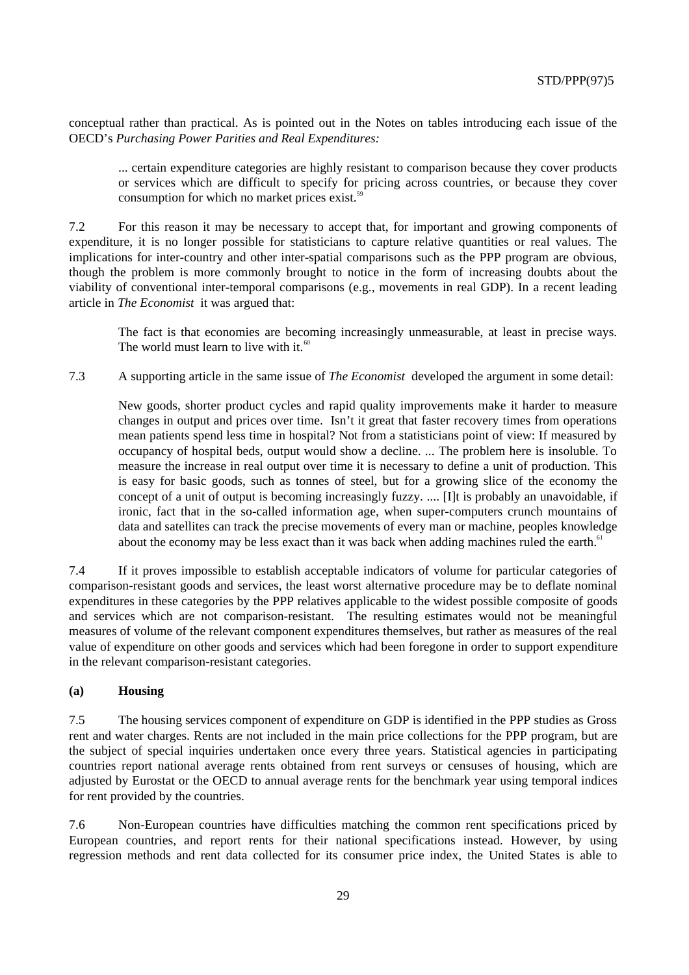conceptual rather than practical. As is pointed out in the Notes on tables introducing each issue of the OECD's *Purchasing Power Parities and Real Expenditures:*

... certain expenditure categories are highly resistant to comparison because they cover products or services which are difficult to specify for pricing across countries, or because they cover consumption for which no market prices exist. $59$ 

7.2 For this reason it may be necessary to accept that, for important and growing components of expenditure, it is no longer possible for statisticians to capture relative quantities or real values. The implications for inter-country and other inter-spatial comparisons such as the PPP program are obvious, though the problem is more commonly brought to notice in the form of increasing doubts about the viability of conventional inter-temporal comparisons (e.g., movements in real GDP). In a recent leading article in *The Economist* it was argued that:

The fact is that economies are becoming increasingly unmeasurable, at least in precise ways. The world must learn to live with it.<sup>60</sup>

7.3 A supporting article in the same issue of *The Economist* developed the argument in some detail:

New goods, shorter product cycles and rapid quality improvements make it harder to measure changes in output and prices over time. Isn't it great that faster recovery times from operations mean patients spend less time in hospital? Not from a statisticians point of view: If measured by occupancy of hospital beds, output would show a decline. ... The problem here is insoluble. To measure the increase in real output over time it is necessary to define a unit of production. This is easy for basic goods, such as tonnes of steel, but for a growing slice of the economy the concept of a unit of output is becoming increasingly fuzzy. .... [I]t is probably an unavoidable, if ironic, fact that in the so-called information age, when super-computers crunch mountains of data and satellites can track the precise movements of every man or machine, peoples knowledge about the economy may be less exact than it was back when adding machines ruled the earth.<sup>61</sup>

7.4 If it proves impossible to establish acceptable indicators of volume for particular categories of comparison-resistant goods and services, the least worst alternative procedure may be to deflate nominal expenditures in these categories by the PPP relatives applicable to the widest possible composite of goods and services which are not comparison-resistant. The resulting estimates would not be meaningful measures of volume of the relevant component expenditures themselves, but rather as measures of the real value of expenditure on other goods and services which had been foregone in order to support expenditure in the relevant comparison-resistant categories.

#### **(a) Housing**

7.5 The housing services component of expenditure on GDP is identified in the PPP studies as Gross rent and water charges. Rents are not included in the main price collections for the PPP program, but are the subject of special inquiries undertaken once every three years. Statistical agencies in participating countries report national average rents obtained from rent surveys or censuses of housing, which are adjusted by Eurostat or the OECD to annual average rents for the benchmark year using temporal indices for rent provided by the countries.

7.6 Non-European countries have difficulties matching the common rent specifications priced by European countries, and report rents for their national specifications instead. However, by using regression methods and rent data collected for its consumer price index, the United States is able to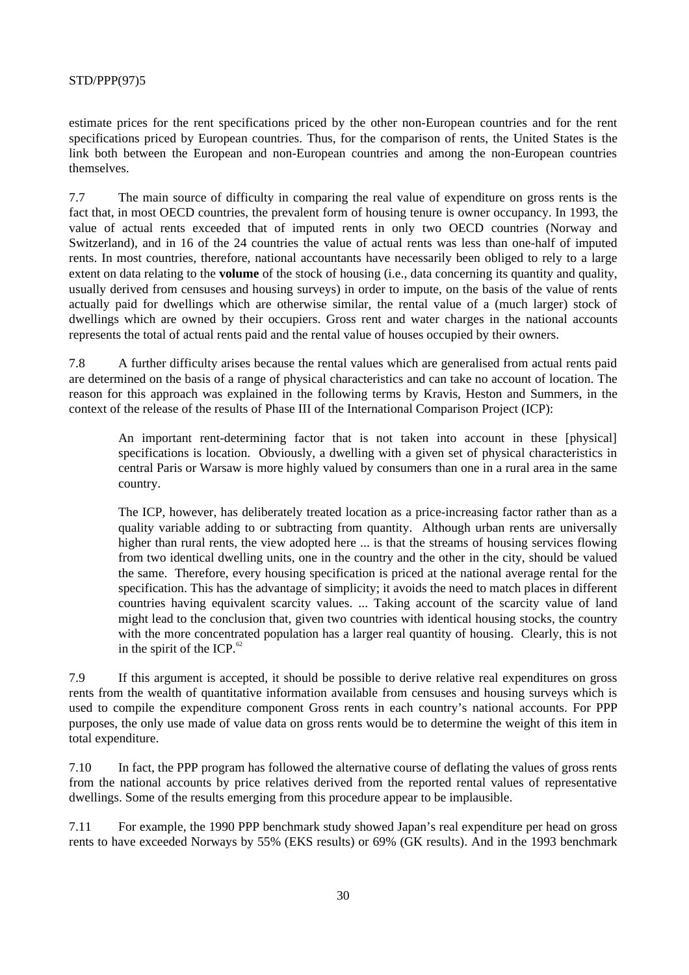estimate prices for the rent specifications priced by the other non-European countries and for the rent specifications priced by European countries. Thus, for the comparison of rents, the United States is the link both between the European and non-European countries and among the non-European countries themselves.

7.7 The main source of difficulty in comparing the real value of expenditure on gross rents is the fact that, in most OECD countries, the prevalent form of housing tenure is owner occupancy. In 1993, the value of actual rents exceeded that of imputed rents in only two OECD countries (Norway and Switzerland), and in 16 of the 24 countries the value of actual rents was less than one-half of imputed rents. In most countries, therefore, national accountants have necessarily been obliged to rely to a large extent on data relating to the **volume** of the stock of housing (i.e., data concerning its quantity and quality, usually derived from censuses and housing surveys) in order to impute, on the basis of the value of rents actually paid for dwellings which are otherwise similar, the rental value of a (much larger) stock of dwellings which are owned by their occupiers. Gross rent and water charges in the national accounts represents the total of actual rents paid and the rental value of houses occupied by their owners.

7.8 A further difficulty arises because the rental values which are generalised from actual rents paid are determined on the basis of a range of physical characteristics and can take no account of location. The reason for this approach was explained in the following terms by Kravis, Heston and Summers, in the context of the release of the results of Phase III of the International Comparison Project (ICP):

An important rent-determining factor that is not taken into account in these [physical] specifications is location. Obviously, a dwelling with a given set of physical characteristics in central Paris or Warsaw is more highly valued by consumers than one in a rural area in the same country.

The ICP, however, has deliberately treated location as a price-increasing factor rather than as a quality variable adding to or subtracting from quantity. Although urban rents are universally higher than rural rents, the view adopted here ... is that the streams of housing services flowing from two identical dwelling units, one in the country and the other in the city, should be valued the same. Therefore, every housing specification is priced at the national average rental for the specification. This has the advantage of simplicity; it avoids the need to match places in different countries having equivalent scarcity values. ... Taking account of the scarcity value of land might lead to the conclusion that, given two countries with identical housing stocks, the country with the more concentrated population has a larger real quantity of housing. Clearly, this is not in the spirit of the ICP. $^{62}$ 

7.9 If this argument is accepted, it should be possible to derive relative real expenditures on gross rents from the wealth of quantitative information available from censuses and housing surveys which is used to compile the expenditure component Gross rents in each country's national accounts. For PPP purposes, the only use made of value data on gross rents would be to determine the weight of this item in total expenditure.

7.10 In fact, the PPP program has followed the alternative course of deflating the values of gross rents from the national accounts by price relatives derived from the reported rental values of representative dwellings. Some of the results emerging from this procedure appear to be implausible.

7.11 For example, the 1990 PPP benchmark study showed Japan's real expenditure per head on gross rents to have exceeded Norways by 55% (EKS results) or 69% (GK results). And in the 1993 benchmark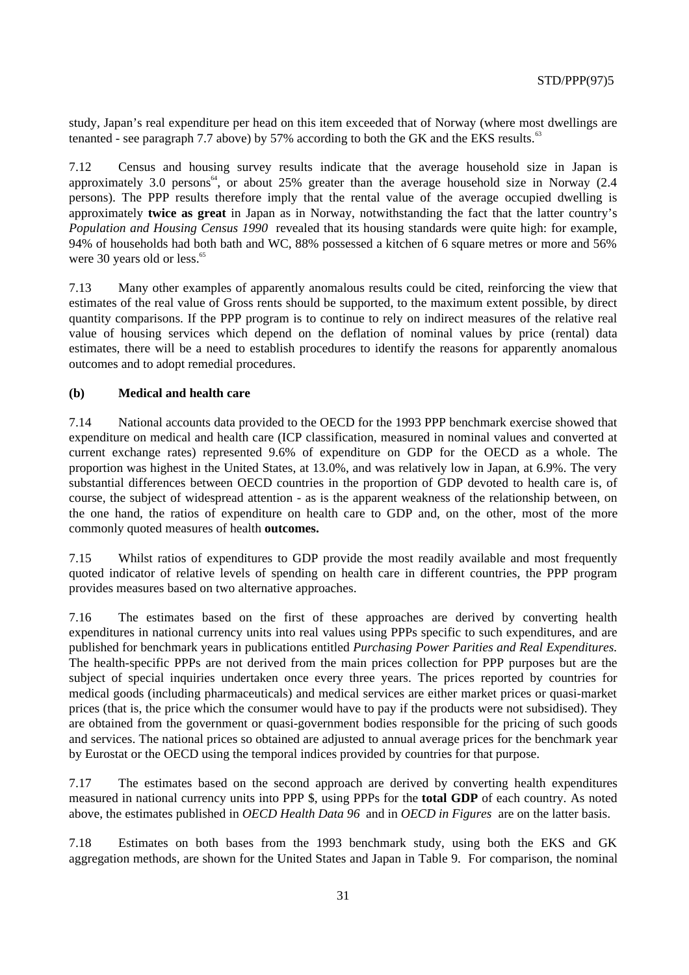study, Japan's real expenditure per head on this item exceeded that of Norway (where most dwellings are tenanted - see paragraph 7.7 above) by 57% according to both the GK and the EKS results.<sup>63</sup>

7.12 Census and housing survey results indicate that the average household size in Japan is approximately 3.0 persons<sup>64</sup>, or about 25% greater than the average household size in Norway (2.4 persons). The PPP results therefore imply that the rental value of the average occupied dwelling is approximately **twice as great** in Japan as in Norway, notwithstanding the fact that the latter country's *Population and Housing Census 1990* revealed that its housing standards were quite high: for example, 94% of households had both bath and WC, 88% possessed a kitchen of 6 square metres or more and 56% were 30 years old or less.<sup>65</sup>

7.13 Many other examples of apparently anomalous results could be cited, reinforcing the view that estimates of the real value of Gross rents should be supported, to the maximum extent possible, by direct quantity comparisons. If the PPP program is to continue to rely on indirect measures of the relative real value of housing services which depend on the deflation of nominal values by price (rental) data estimates, there will be a need to establish procedures to identify the reasons for apparently anomalous outcomes and to adopt remedial procedures.

#### **(b) Medical and health care**

7.14 National accounts data provided to the OECD for the 1993 PPP benchmark exercise showed that expenditure on medical and health care (ICP classification, measured in nominal values and converted at current exchange rates) represented 9.6% of expenditure on GDP for the OECD as a whole. The proportion was highest in the United States, at 13.0%, and was relatively low in Japan, at 6.9%. The very substantial differences between OECD countries in the proportion of GDP devoted to health care is, of course, the subject of widespread attention - as is the apparent weakness of the relationship between, on the one hand, the ratios of expenditure on health care to GDP and, on the other, most of the more commonly quoted measures of health **outcomes.**

7.15 Whilst ratios of expenditures to GDP provide the most readily available and most frequently quoted indicator of relative levels of spending on health care in different countries, the PPP program provides measures based on two alternative approaches.

7.16 The estimates based on the first of these approaches are derived by converting health expenditures in national currency units into real values using PPPs specific to such expenditures, and are published for benchmark years in publications entitled *Purchasing Power Parities and Real Expenditures.* The health-specific PPPs are not derived from the main prices collection for PPP purposes but are the subject of special inquiries undertaken once every three years. The prices reported by countries for medical goods (including pharmaceuticals) and medical services are either market prices or quasi-market prices (that is, the price which the consumer would have to pay if the products were not subsidised). They are obtained from the government or quasi-government bodies responsible for the pricing of such goods and services. The national prices so obtained are adjusted to annual average prices for the benchmark year by Eurostat or the OECD using the temporal indices provided by countries for that purpose.

7.17 The estimates based on the second approach are derived by converting health expenditures measured in national currency units into PPP \$, using PPPs for the **total GDP** of each country. As noted above, the estimates published in *OECD Health Data 96* and in *OECD in Figures* are on the latter basis.

7.18 Estimates on both bases from the 1993 benchmark study, using both the EKS and GK aggregation methods, are shown for the United States and Japan in Table 9. For comparison, the nominal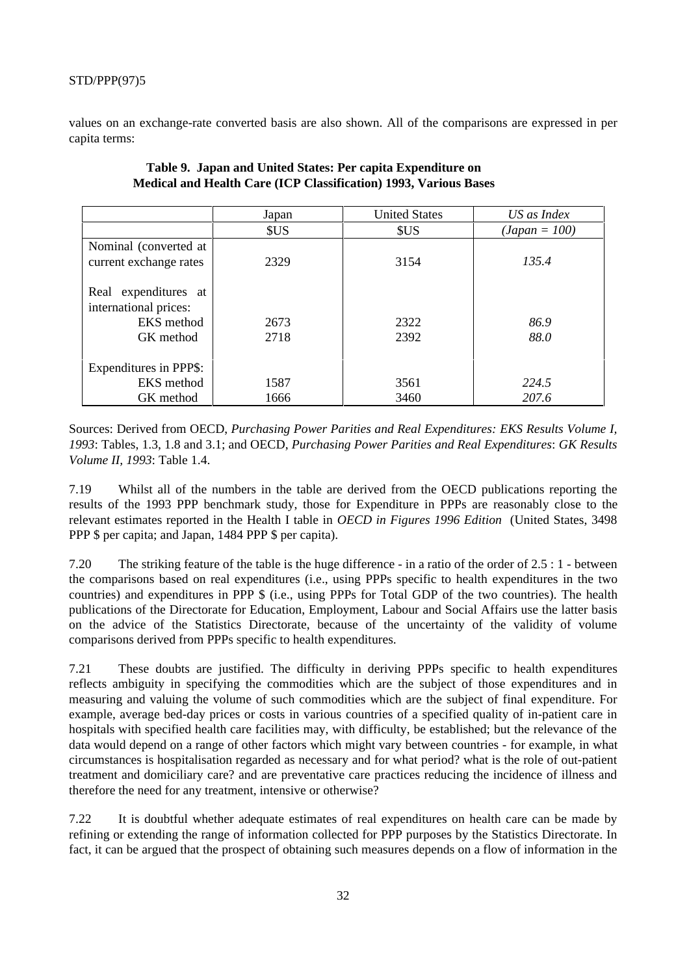values on an exchange-rate converted basis are also shown. All of the comparisons are expressed in per capita terms:

|                                                 | Japan | <b>United States</b> | US as Index     |
|-------------------------------------------------|-------|----------------------|-----------------|
|                                                 | \$US  | \$US                 | $(Japan = 100)$ |
| Nominal (converted at<br>current exchange rates | 2329  | 3154                 | 135.4           |
| Real expenditures at<br>international prices:   |       |                      |                 |
| EKS method                                      | 2673  | 2322                 | 86.9            |
| GK method                                       | 2718  | 2392                 | 88.0            |
| Expenditures in PPP\$:                          |       |                      |                 |
| <b>EKS</b> method                               | 1587  | 3561                 | 224.5           |
| GK method                                       | 1666  | 3460                 | 207.6           |

## **Table 9. Japan and United States: Per capita Expenditure on Medical and Health Care (ICP Classification) 1993, Various Bases**

Sources: Derived from OECD, *Purchasing Power Parities and Real Expenditures: EKS Results Volume I, 1993*: Tables, 1.3, 1.8 and 3.1; and OECD, *Purchasing Power Parities and Real Expenditures*: *GK Results Volume II, 1993*: Table 1.4.

7.19 Whilst all of the numbers in the table are derived from the OECD publications reporting the results of the 1993 PPP benchmark study, those for Expenditure in PPPs are reasonably close to the relevant estimates reported in the Health I table in *OECD in Figures 1996 Edition* (United States, 3498 PPP \$ per capita; and Japan, 1484 PPP \$ per capita).

7.20 The striking feature of the table is the huge difference - in a ratio of the order of 2.5 : 1 - between the comparisons based on real expenditures (i.e., using PPPs specific to health expenditures in the two countries) and expenditures in PPP \$ (i.e., using PPPs for Total GDP of the two countries). The health publications of the Directorate for Education, Employment, Labour and Social Affairs use the latter basis on the advice of the Statistics Directorate, because of the uncertainty of the validity of volume comparisons derived from PPPs specific to health expenditures.

7.21 These doubts are justified. The difficulty in deriving PPPs specific to health expenditures reflects ambiguity in specifying the commodities which are the subject of those expenditures and in measuring and valuing the volume of such commodities which are the subject of final expenditure. For example, average bed-day prices or costs in various countries of a specified quality of in-patient care in hospitals with specified health care facilities may, with difficulty, be established; but the relevance of the data would depend on a range of other factors which might vary between countries - for example, in what circumstances is hospitalisation regarded as necessary and for what period? what is the role of out-patient treatment and domiciliary care? and are preventative care practices reducing the incidence of illness and therefore the need for any treatment, intensive or otherwise?

7.22 It is doubtful whether adequate estimates of real expenditures on health care can be made by refining or extending the range of information collected for PPP purposes by the Statistics Directorate. In fact, it can be argued that the prospect of obtaining such measures depends on a flow of information in the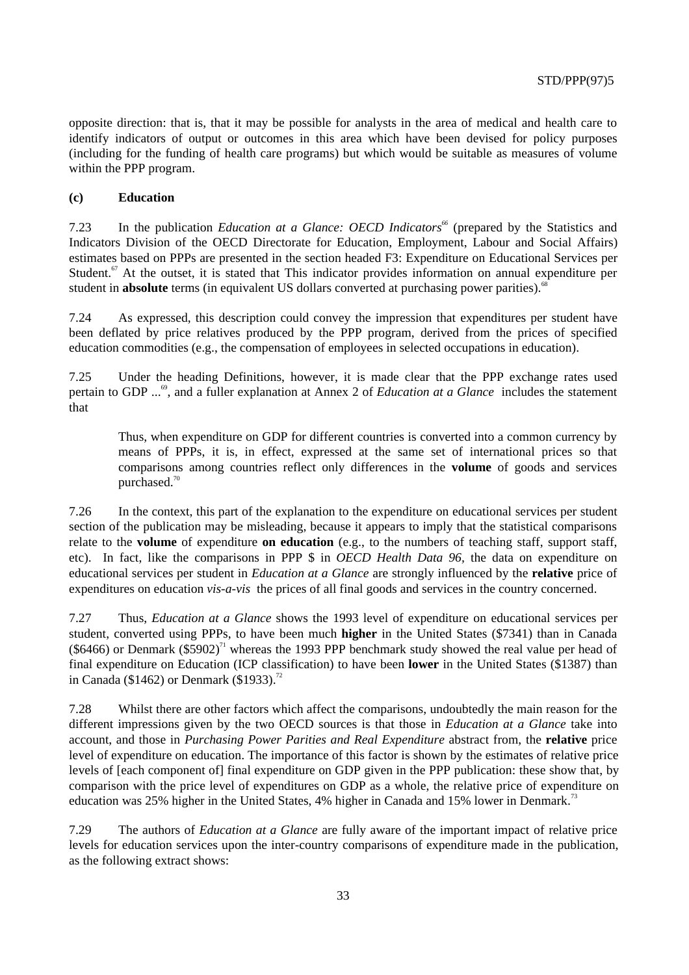opposite direction: that is, that it may be possible for analysts in the area of medical and health care to identify indicators of output or outcomes in this area which have been devised for policy purposes (including for the funding of health care programs) but which would be suitable as measures of volume within the PPP program.

#### **(c) Education**

7.23 In the publication *Education at a Glance: OECD Indicators*<sup>66</sup> (prepared by the Statistics and Indicators Division of the OECD Directorate for Education, Employment, Labour and Social Affairs) estimates based on PPPs are presented in the section headed F3: Expenditure on Educational Services per Student. $67$  At the outset, it is stated that This indicator provides information on annual expenditure per student in **absolute** terms (in equivalent US dollars converted at purchasing power parities).<sup>68</sup>

7.24 As expressed, this description could convey the impression that expenditures per student have been deflated by price relatives produced by the PPP program, derived from the prices of specified education commodities (e.g., the compensation of employees in selected occupations in education).

7.25 Under the heading Definitions, however, it is made clear that the PPP exchange rates used pertain to GDP ...<sup>69</sup>, and a fuller explanation at Annex 2 of *Education at a Glance* includes the statement that

Thus, when expenditure on GDP for different countries is converted into a common currency by means of PPPs, it is, in effect, expressed at the same set of international prices so that comparisons among countries reflect only differences in the **volume** of goods and services purchased.<sup>70</sup>

7.26 In the context, this part of the explanation to the expenditure on educational services per student section of the publication may be misleading, because it appears to imply that the statistical comparisons relate to the **volume** of expenditure **on education** (e.g., to the numbers of teaching staff, support staff, etc). In fact, like the comparisons in PPP \$ in *OECD Health Data 96,* the data on expenditure on educational services per student in *Education at a Glance* are strongly influenced by the **relative** price of expenditures on education *vis-a-vis* the prices of all final goods and services in the country concerned.

7.27 Thus, *Education at a Glance* shows the 1993 level of expenditure on educational services per student, converted using PPPs, to have been much **higher** in the United States (\$7341) than in Canada (\$6466) or Denmark (\$5902)<sup>71</sup> whereas the 1993 PPP benchmark study showed the real value per head of final expenditure on Education (ICP classification) to have been **lower** in the United States (\$1387) than in Canada (\$1462) or Denmark (\$1933).<sup>72</sup>

7.28 Whilst there are other factors which affect the comparisons, undoubtedly the main reason for the different impressions given by the two OECD sources is that those in *Education at a Glance* take into account, and those in *Purchasing Power Parities and Real Expenditure* abstract from, the **relative** price level of expenditure on education. The importance of this factor is shown by the estimates of relative price levels of [each component of] final expenditure on GDP given in the PPP publication: these show that, by comparison with the price level of expenditures on GDP as a whole, the relative price of expenditure on education was 25% higher in the United States, 4% higher in Canada and 15% lower in Denmark.<sup>73</sup>

7.29 The authors of *Education at a Glance* are fully aware of the important impact of relative price levels for education services upon the inter-country comparisons of expenditure made in the publication, as the following extract shows: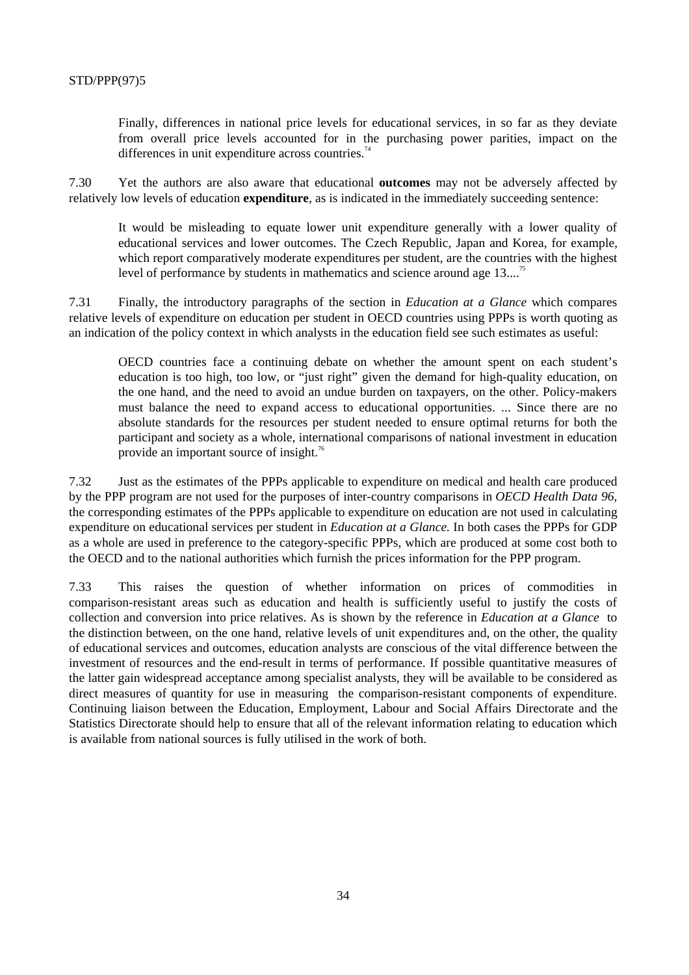Finally, differences in national price levels for educational services, in so far as they deviate from overall price levels accounted for in the purchasing power parities, impact on the differences in unit expenditure across countries. $74$ 

7.30 Yet the authors are also aware that educational **outcomes** may not be adversely affected by relatively low levels of education **expenditure**, as is indicated in the immediately succeeding sentence:

It would be misleading to equate lower unit expenditure generally with a lower quality of educational services and lower outcomes. The Czech Republic, Japan and Korea, for example, which report comparatively moderate expenditures per student, are the countries with the highest level of performance by students in mathematics and science around age 13...<sup>75</sup>

7.31 Finally, the introductory paragraphs of the section in *Education at a Glance* which compares relative levels of expenditure on education per student in OECD countries using PPPs is worth quoting as an indication of the policy context in which analysts in the education field see such estimates as useful:

OECD countries face a continuing debate on whether the amount spent on each student's education is too high, too low, or "just right" given the demand for high-quality education, on the one hand, and the need to avoid an undue burden on taxpayers, on the other. Policy-makers must balance the need to expand access to educational opportunities. ... Since there are no absolute standards for the resources per student needed to ensure optimal returns for both the participant and society as a whole, international comparisons of national investment in education provide an important source of insight.<sup>76</sup>

7.32 Just as the estimates of the PPPs applicable to expenditure on medical and health care produced by the PPP program are not used for the purposes of inter-country comparisons in *OECD Health Data 96,* the corresponding estimates of the PPPs applicable to expenditure on education are not used in calculating expenditure on educational services per student in *Education at a Glance.* In both cases the PPPs for GDP as a whole are used in preference to the category-specific PPPs, which are produced at some cost both to the OECD and to the national authorities which furnish the prices information for the PPP program.

7.33 This raises the question of whether information on prices of commodities in comparison-resistant areas such as education and health is sufficiently useful to justify the costs of collection and conversion into price relatives. As is shown by the reference in *Education at a Glance* to the distinction between, on the one hand, relative levels of unit expenditures and, on the other, the quality of educational services and outcomes, education analysts are conscious of the vital difference between the investment of resources and the end-result in terms of performance. If possible quantitative measures of the latter gain widespread acceptance among specialist analysts, they will be available to be considered as direct measures of quantity for use in measuring the comparison-resistant components of expenditure. Continuing liaison between the Education, Employment, Labour and Social Affairs Directorate and the Statistics Directorate should help to ensure that all of the relevant information relating to education which is available from national sources is fully utilised in the work of both.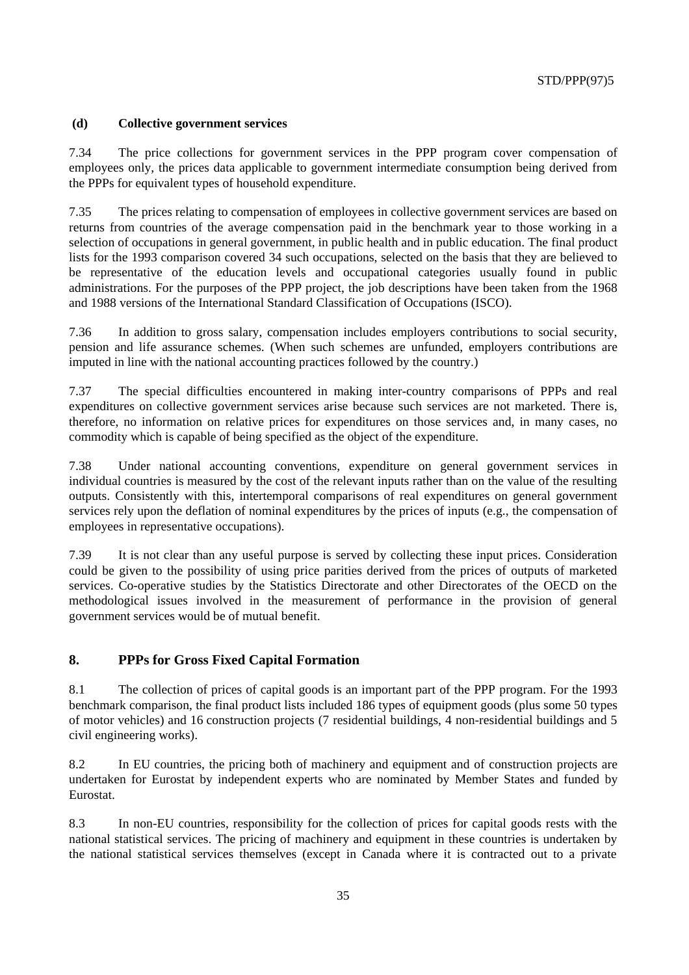#### **(d) Collective government services**

7.34 The price collections for government services in the PPP program cover compensation of employees only, the prices data applicable to government intermediate consumption being derived from the PPPs for equivalent types of household expenditure.

7.35 The prices relating to compensation of employees in collective government services are based on returns from countries of the average compensation paid in the benchmark year to those working in a selection of occupations in general government, in public health and in public education. The final product lists for the 1993 comparison covered 34 such occupations, selected on the basis that they are believed to be representative of the education levels and occupational categories usually found in public administrations. For the purposes of the PPP project, the job descriptions have been taken from the 1968 and 1988 versions of the International Standard Classification of Occupations (ISCO).

7.36 In addition to gross salary, compensation includes employers contributions to social security, pension and life assurance schemes. (When such schemes are unfunded, employers contributions are imputed in line with the national accounting practices followed by the country.)

7.37 The special difficulties encountered in making inter-country comparisons of PPPs and real expenditures on collective government services arise because such services are not marketed. There is, therefore, no information on relative prices for expenditures on those services and, in many cases, no commodity which is capable of being specified as the object of the expenditure.

7.38 Under national accounting conventions, expenditure on general government services in individual countries is measured by the cost of the relevant inputs rather than on the value of the resulting outputs. Consistently with this, intertemporal comparisons of real expenditures on general government services rely upon the deflation of nominal expenditures by the prices of inputs (e.g., the compensation of employees in representative occupations).

7.39 It is not clear than any useful purpose is served by collecting these input prices. Consideration could be given to the possibility of using price parities derived from the prices of outputs of marketed services. Co-operative studies by the Statistics Directorate and other Directorates of the OECD on the methodological issues involved in the measurement of performance in the provision of general government services would be of mutual benefit.

## **8. PPPs for Gross Fixed Capital Formation**

8.1 The collection of prices of capital goods is an important part of the PPP program. For the 1993 benchmark comparison, the final product lists included 186 types of equipment goods (plus some 50 types of motor vehicles) and 16 construction projects (7 residential buildings, 4 non-residential buildings and 5 civil engineering works).

8.2 In EU countries, the pricing both of machinery and equipment and of construction projects are undertaken for Eurostat by independent experts who are nominated by Member States and funded by Eurostat.

8.3 In non-EU countries, responsibility for the collection of prices for capital goods rests with the national statistical services. The pricing of machinery and equipment in these countries is undertaken by the national statistical services themselves (except in Canada where it is contracted out to a private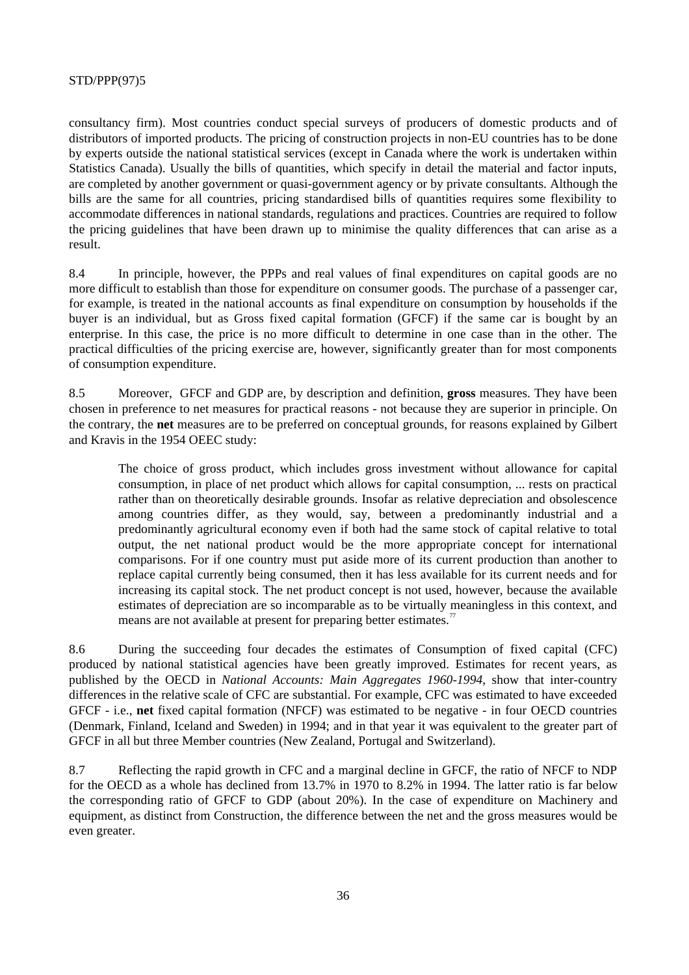consultancy firm). Most countries conduct special surveys of producers of domestic products and of distributors of imported products. The pricing of construction projects in non-EU countries has to be done by experts outside the national statistical services (except in Canada where the work is undertaken within Statistics Canada). Usually the bills of quantities, which specify in detail the material and factor inputs, are completed by another government or quasi-government agency or by private consultants. Although the bills are the same for all countries, pricing standardised bills of quantities requires some flexibility to accommodate differences in national standards, regulations and practices. Countries are required to follow the pricing guidelines that have been drawn up to minimise the quality differences that can arise as a result.

8.4 In principle, however, the PPPs and real values of final expenditures on capital goods are no more difficult to establish than those for expenditure on consumer goods. The purchase of a passenger car, for example, is treated in the national accounts as final expenditure on consumption by households if the buyer is an individual, but as Gross fixed capital formation (GFCF) if the same car is bought by an enterprise. In this case, the price is no more difficult to determine in one case than in the other. The practical difficulties of the pricing exercise are, however, significantly greater than for most components of consumption expenditure.

8.5 Moreover, GFCF and GDP are, by description and definition, **gross** measures. They have been chosen in preference to net measures for practical reasons - not because they are superior in principle. On the contrary, the **net** measures are to be preferred on conceptual grounds, for reasons explained by Gilbert and Kravis in the 1954 OEEC study:

The choice of gross product, which includes gross investment without allowance for capital consumption, in place of net product which allows for capital consumption, ... rests on practical rather than on theoretically desirable grounds. Insofar as relative depreciation and obsolescence among countries differ, as they would, say, between a predominantly industrial and a predominantly agricultural economy even if both had the same stock of capital relative to total output, the net national product would be the more appropriate concept for international comparisons. For if one country must put aside more of its current production than another to replace capital currently being consumed, then it has less available for its current needs and for increasing its capital stock. The net product concept is not used, however, because the available estimates of depreciation are so incomparable as to be virtually meaningless in this context, and means are not available at present for preparing better estimates.<sup>77</sup>

8.6 During the succeeding four decades the estimates of Consumption of fixed capital (CFC) produced by national statistical agencies have been greatly improved. Estimates for recent years, as published by the OECD in *National Accounts: Main Aggregates 1960-1994,* show that inter-country differences in the relative scale of CFC are substantial. For example, CFC was estimated to have exceeded GFCF - i.e., **net** fixed capital formation (NFCF) was estimated to be negative - in four OECD countries (Denmark, Finland, Iceland and Sweden) in 1994; and in that year it was equivalent to the greater part of GFCF in all but three Member countries (New Zealand, Portugal and Switzerland).

8.7 Reflecting the rapid growth in CFC and a marginal decline in GFCF, the ratio of NFCF to NDP for the OECD as a whole has declined from 13.7% in 1970 to 8.2% in 1994. The latter ratio is far below the corresponding ratio of GFCF to GDP (about 20%). In the case of expenditure on Machinery and equipment, as distinct from Construction, the difference between the net and the gross measures would be even greater.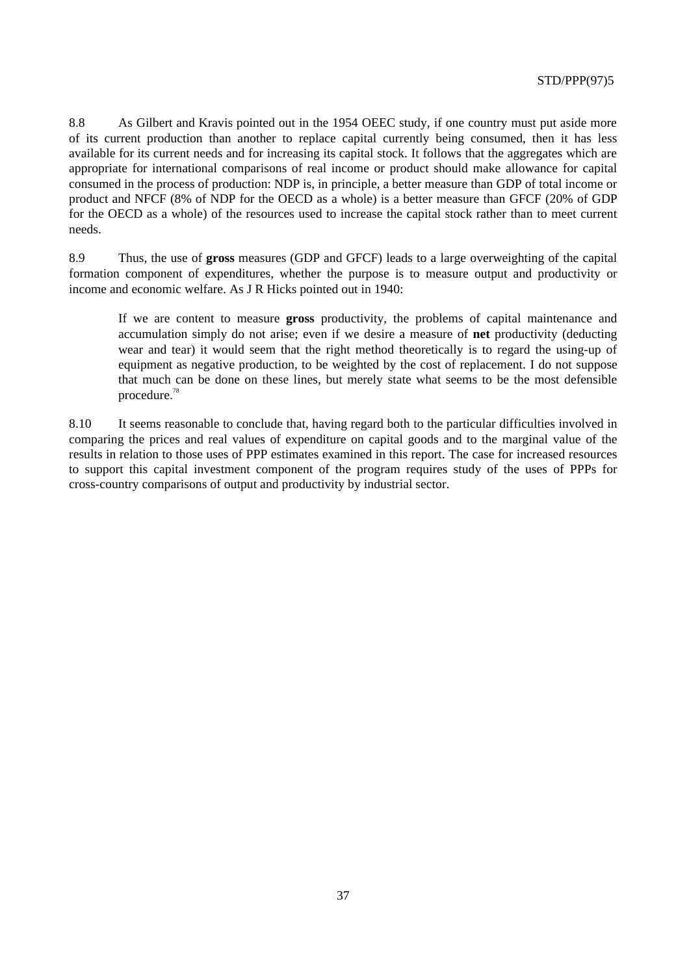8.8 As Gilbert and Kravis pointed out in the 1954 OEEC study, if one country must put aside more of its current production than another to replace capital currently being consumed, then it has less available for its current needs and for increasing its capital stock. It follows that the aggregates which are appropriate for international comparisons of real income or product should make allowance for capital consumed in the process of production: NDP is, in principle, a better measure than GDP of total income or product and NFCF (8% of NDP for the OECD as a whole) is a better measure than GFCF (20% of GDP for the OECD as a whole) of the resources used to increase the capital stock rather than to meet current needs.

8.9 Thus, the use of **gross** measures (GDP and GFCF) leads to a large overweighting of the capital formation component of expenditures, whether the purpose is to measure output and productivity or income and economic welfare. As J R Hicks pointed out in 1940:

If we are content to measure **gross** productivity, the problems of capital maintenance and accumulation simply do not arise; even if we desire a measure of **net** productivity (deducting wear and tear) it would seem that the right method theoretically is to regard the using-up of equipment as negative production, to be weighted by the cost of replacement. I do not suppose that much can be done on these lines, but merely state what seems to be the most defensible procedure.78

8.10 It seems reasonable to conclude that, having regard both to the particular difficulties involved in comparing the prices and real values of expenditure on capital goods and to the marginal value of the results in relation to those uses of PPP estimates examined in this report. The case for increased resources to support this capital investment component of the program requires study of the uses of PPPs for cross-country comparisons of output and productivity by industrial sector.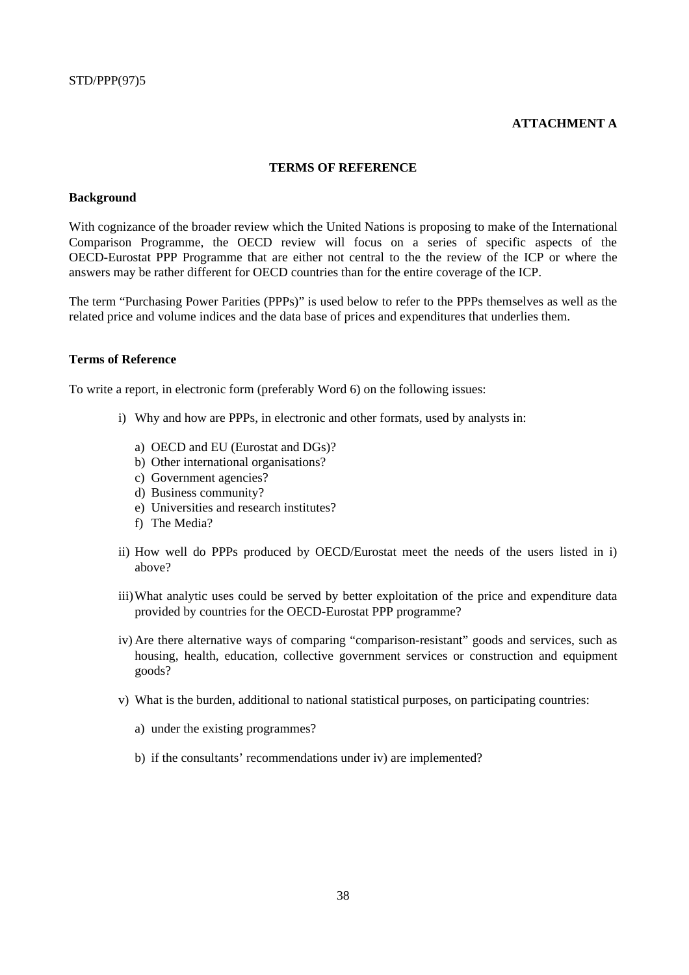#### **ATTACHMENT A**

#### **TERMS OF REFERENCE**

#### **Background**

With cognizance of the broader review which the United Nations is proposing to make of the International Comparison Programme, the OECD review will focus on a series of specific aspects of the OECD-Eurostat PPP Programme that are either not central to the the review of the ICP or where the answers may be rather different for OECD countries than for the entire coverage of the ICP.

The term "Purchasing Power Parities (PPPs)" is used below to refer to the PPPs themselves as well as the related price and volume indices and the data base of prices and expenditures that underlies them.

#### **Terms of Reference**

To write a report, in electronic form (preferably Word 6) on the following issues:

- i) Why and how are PPPs, in electronic and other formats, used by analysts in:
	- a) OECD and EU (Eurostat and DGs)?
	- b) Other international organisations?
	- c) Government agencies?
	- d) Business community?
	- e) Universities and research institutes?
	- f) The Media?
- ii) How well do PPPs produced by OECD/Eurostat meet the needs of the users listed in i) above?
- iii)What analytic uses could be served by better exploitation of the price and expenditure data provided by countries for the OECD-Eurostat PPP programme?
- iv) Are there alternative ways of comparing "comparison-resistant" goods and services, such as housing, health, education, collective government services or construction and equipment goods?
- v) What is the burden, additional to national statistical purposes, on participating countries:
	- a) under the existing programmes?
	- b) if the consultants' recommendations under iv) are implemented?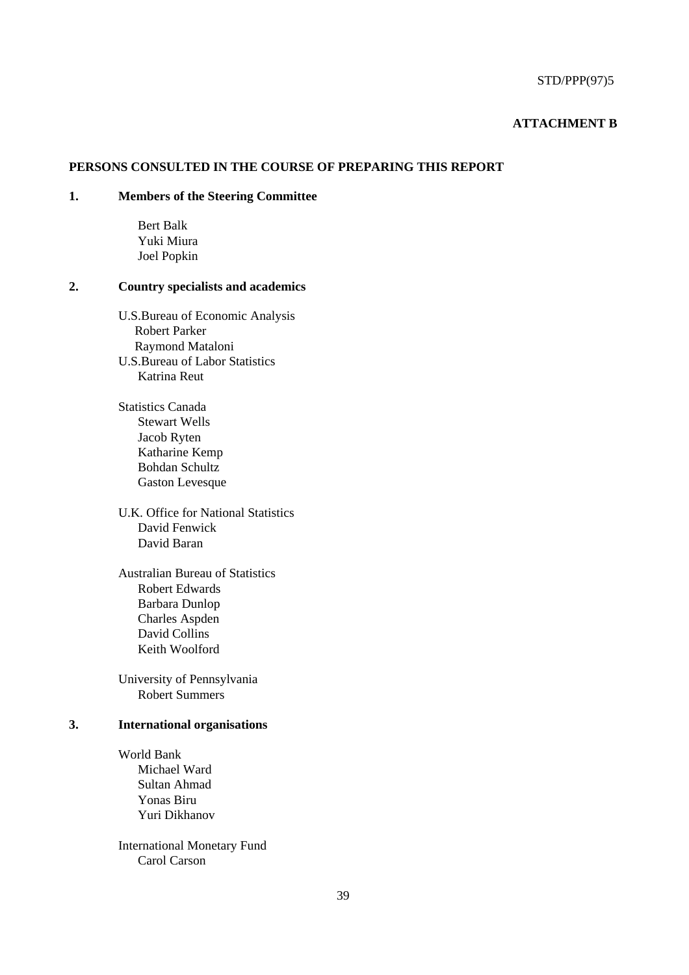#### **ATTACHMENT B**

## **PERSONS CONSULTED IN THE COURSE OF PREPARING THIS REPORT**

## **1. Members of the Steering Committee**

Bert Balk Yuki Miura Joel Popkin

#### **2. Country specialists and academics**

- U.S.Bureau of Economic Analysis Robert Parker Raymond Mataloni U.S.Bureau of Labor Statistics Katrina Reut
- Statistics Canada Stewart Wells Jacob Ryten Katharine Kemp Bohdan Schultz Gaston Levesque
- U.K. Office for National Statistics David Fenwick David Baran
- Australian Bureau of Statistics Robert Edwards Barbara Dunlop Charles Aspden David Collins Keith Woolford

University of Pennsylvania Robert Summers

#### **3. International organisations**

World Bank Michael Ward Sultan Ahmad Yonas Biru Yuri Dikhanov

International Monetary Fund Carol Carson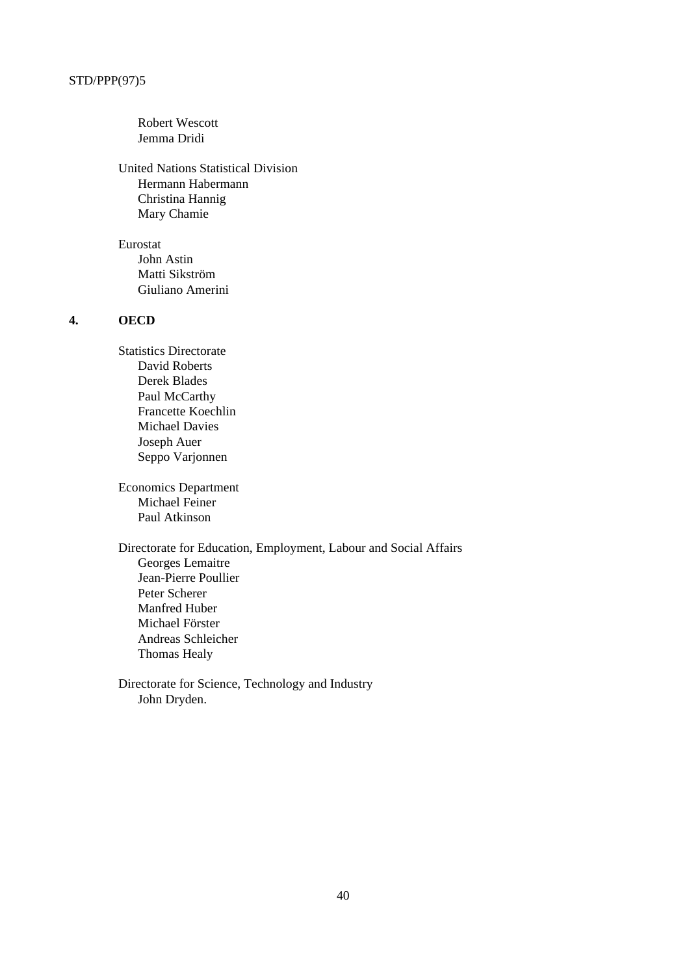Robert Wescott Jemma Dridi

United Nations Statistical Division Hermann Habermann Christina Hannig Mary Chamie

Eurostat John Astin Matti Sikström Giuliano Amerini

## **4. OECD**

Statistics Directorate David Roberts Derek Blades Paul McCarthy Francette Koechlin Michael Davies Joseph Auer Seppo Varjonnen

Economics Department Michael Feiner Paul Atkinson

Directorate for Education, Employment, Labour and Social Affairs Georges Lemaitre Jean-Pierre Poullier Peter Scherer Manfred Huber Michael Förster Andreas Schleicher Thomas Healy

Directorate for Science, Technology and Industry John Dryden.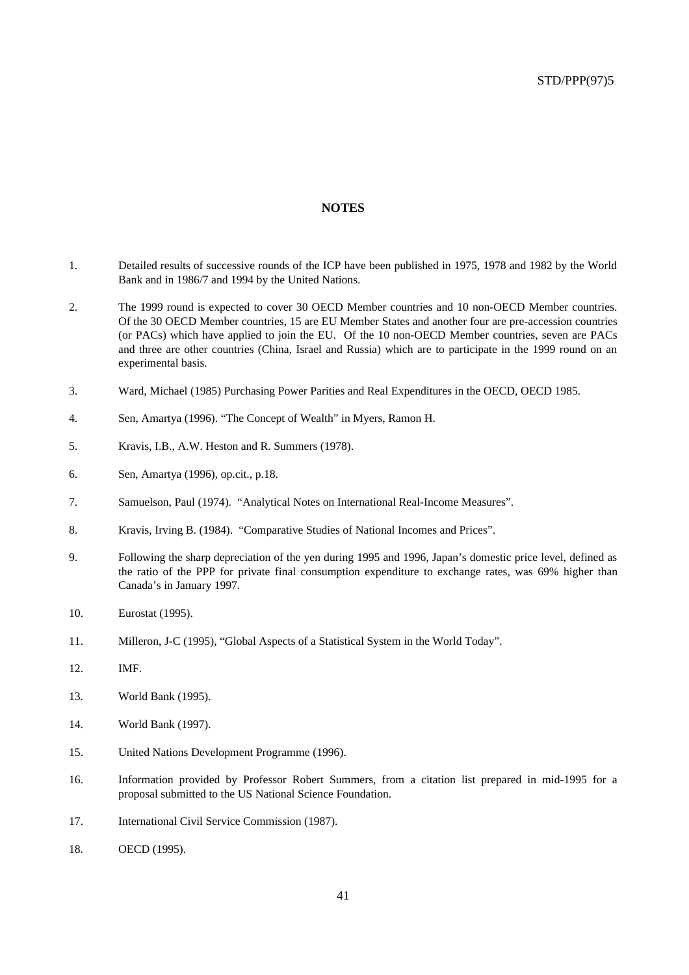#### **NOTES**

- 1. Detailed results of successive rounds of the ICP have been published in 1975, 1978 and 1982 by the World Bank and in 1986/7 and 1994 by the United Nations.
- 2. The 1999 round is expected to cover 30 OECD Member countries and 10 non-OECD Member countries. Of the 30 OECD Member countries, 15 are EU Member States and another four are pre-accession countries (or PACs) which have applied to join the EU. Of the 10 non-OECD Member countries, seven are PACs and three are other countries (China, Israel and Russia) which are to participate in the 1999 round on an experimental basis.
- 3. Ward, Michael (1985) Purchasing Power Parities and Real Expenditures in the OECD, OECD 1985.
- 4. Sen, Amartya (1996). "The Concept of Wealth" in Myers, Ramon H.
- 5. Kravis, I.B., A.W. Heston and R. Summers (1978).
- 6. Sen, Amartya (1996), op.cit., p.18.
- 7. Samuelson, Paul (1974). "Analytical Notes on International Real-Income Measures".
- 8. Kravis, Irving B. (1984). "Comparative Studies of National Incomes and Prices".
- 9. Following the sharp depreciation of the yen during 1995 and 1996, Japan's domestic price level, defined as the ratio of the PPP for private final consumption expenditure to exchange rates, was 69% higher than Canada's in January 1997.
- 10. Eurostat (1995).
- 11. Milleron, J-C (1995), "Global Aspects of a Statistical System in the World Today".
- 12. IMF.
- 13. World Bank (1995).
- 14. World Bank (1997).
- 15. United Nations Development Programme (1996).
- 16. Information provided by Professor Robert Summers, from a citation list prepared in mid-1995 for a proposal submitted to the US National Science Foundation.
- 17. International Civil Service Commission (1987).
- 18. OECD (1995).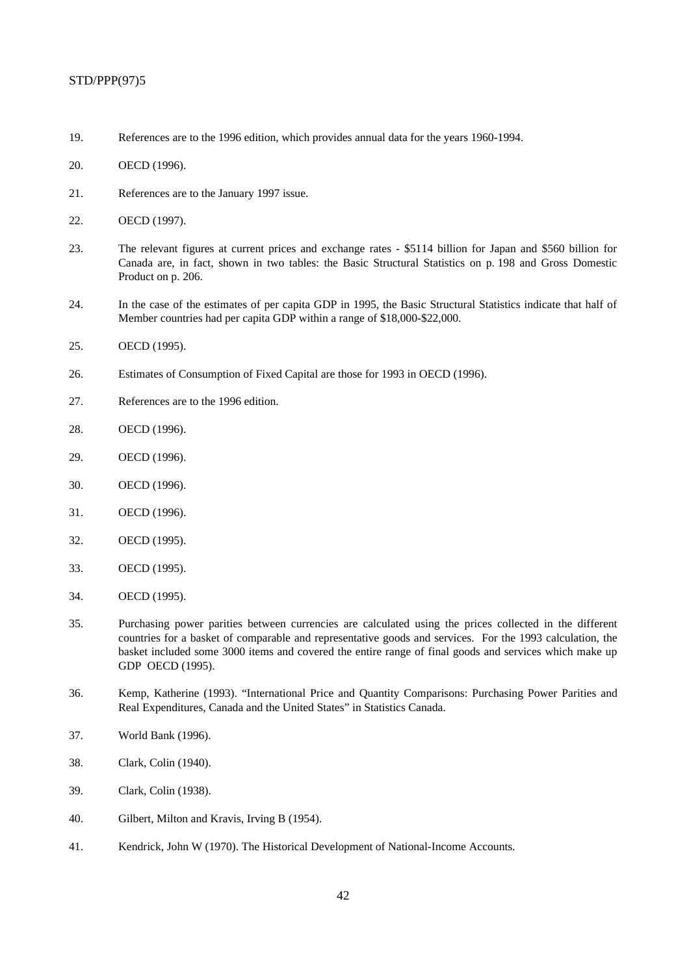- 19. References are to the 1996 edition, which provides annual data for the years 1960-1994.
- 20. OECD (1996).
- 21. References are to the January 1997 issue.
- 22. OECD (1997).
- 23. The relevant figures at current prices and exchange rates \$5114 billion for Japan and \$560 billion for Canada are, in fact, shown in two tables: the Basic Structural Statistics on p. 198 and Gross Domestic Product on p. 206.
- 24. In the case of the estimates of per capita GDP in 1995, the Basic Structural Statistics indicate that half of Member countries had per capita GDP within a range of \$18,000-\$22,000.
- 25. OECD (1995).
- 26. Estimates of Consumption of Fixed Capital are those for 1993 in OECD (1996).
- 27. References are to the 1996 edition.
- 28. OECD (1996).
- 29. OECD (1996).
- 30. OECD (1996).
- 31. OECD (1996).
- 32. OECD (1995).
- 33. OECD (1995).
- 34. OECD (1995).
- 35. Purchasing power parities between currencies are calculated using the prices collected in the different countries for a basket of comparable and representative goods and services. For the 1993 calculation, the basket included some 3000 items and covered the entire range of final goods and services which make up GDP OECD (1995).
- 36. Kemp, Katherine (1993). "International Price and Quantity Comparisons: Purchasing Power Parities and Real Expenditures, Canada and the United States" in Statistics Canada.
- 37. World Bank (1996).
- 38. Clark, Colin (1940).
- 39. Clark, Colin (1938).
- 40. Gilbert, Milton and Kravis, Irving B (1954).
- 41. Kendrick, John W (1970). The Historical Development of National-Income Accounts.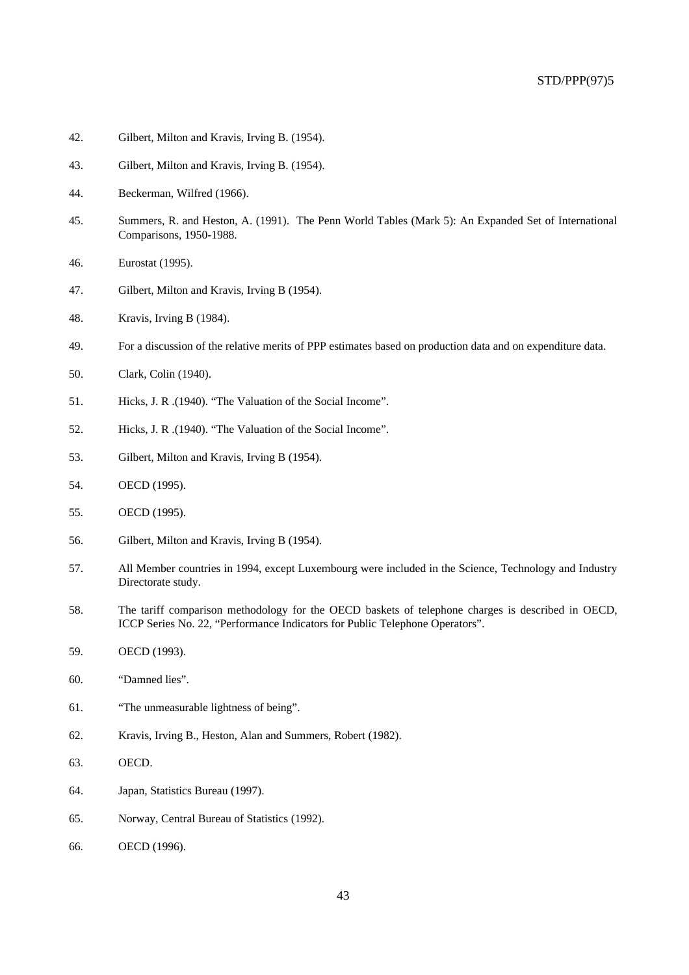- 42. Gilbert, Milton and Kravis, Irving B. (1954).
- 43. Gilbert, Milton and Kravis, Irving B. (1954).
- 44. Beckerman, Wilfred (1966).
- 45. Summers, R. and Heston, A. (1991). The Penn World Tables (Mark 5): An Expanded Set of International Comparisons, 1950-1988.
- 46. Eurostat (1995).
- 47. Gilbert, Milton and Kravis, Irving B (1954).
- 48. Kravis, Irving B (1984).
- 49. For a discussion of the relative merits of PPP estimates based on production data and on expenditure data.
- 50. Clark, Colin (1940).
- 51. Hicks, J. R .(1940). "The Valuation of the Social Income".
- 52. Hicks, J. R .(1940). "The Valuation of the Social Income".
- 53. Gilbert, Milton and Kravis, Irving B (1954).
- 54. OECD (1995).
- 55. OECD (1995).
- 56. Gilbert, Milton and Kravis, Irving B (1954).
- 57. All Member countries in 1994, except Luxembourg were included in the Science, Technology and Industry Directorate study.
- 58. The tariff comparison methodology for the OECD baskets of telephone charges is described in OECD, ICCP Series No. 22, "Performance Indicators for Public Telephone Operators".
- 59. OECD (1993).
- 60. "Damned lies".
- 61. "The unmeasurable lightness of being".
- 62. Kravis, Irving B., Heston, Alan and Summers, Robert (1982).
- 63. OECD.
- 64. Japan, Statistics Bureau (1997).
- 65. Norway, Central Bureau of Statistics (1992).
- 66. OECD (1996).